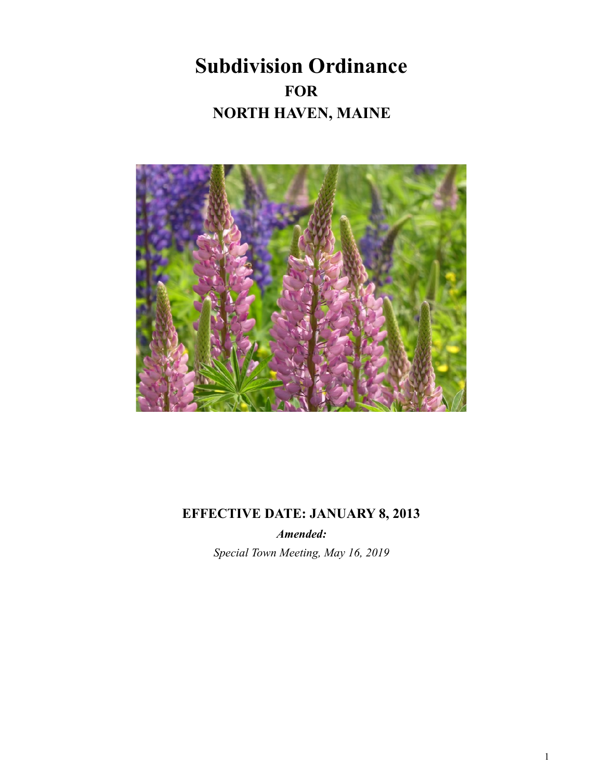**Subdivision Ordinance FOR NORTH HAVEN, MAINE**



# **EFFECTIVE DATE: JANUARY 8, 2013**

*Amended: Special Town Meeting, May 16, 2019*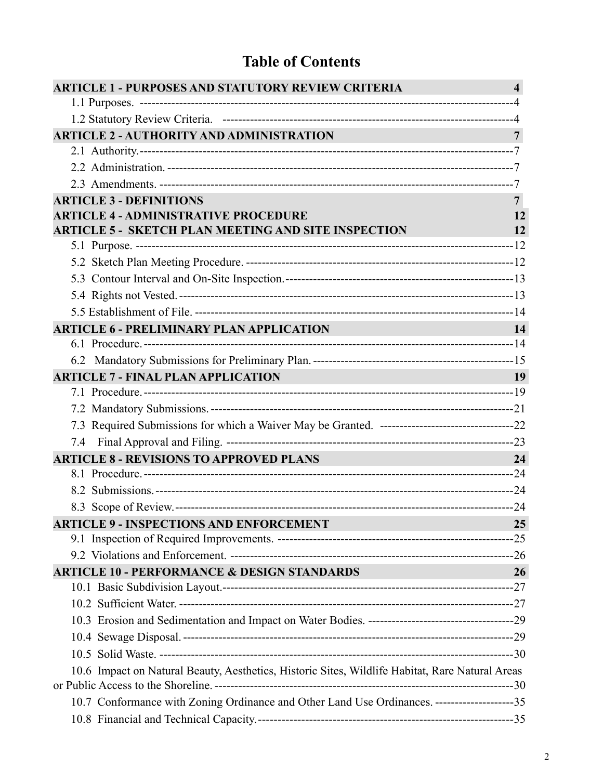# **Table of Contents**

| <b>ARTICLE 1 - PURPOSES AND STATUTORY REVIEW CRITERIA</b>                                       | $\overline{\mathbf{4}}$ |
|-------------------------------------------------------------------------------------------------|-------------------------|
|                                                                                                 |                         |
|                                                                                                 |                         |
| ARTICLE 2 - AUTHORITY AND ADMINISTRATION                                                        | $\overline{7}$          |
|                                                                                                 |                         |
|                                                                                                 |                         |
|                                                                                                 |                         |
| <b>ARTICLE 3 - DEFINITIONS</b>                                                                  | $\overline{7}$          |
| <b>ARTICLE 4 - ADMINISTRATIVE PROCEDURE</b>                                                     | 12                      |
| <b>ARTICLE 5 - SKETCH PLAN MEETING AND SITE INSPECTION</b>                                      | 12                      |
|                                                                                                 |                         |
|                                                                                                 |                         |
|                                                                                                 |                         |
|                                                                                                 |                         |
|                                                                                                 |                         |
| <b>ARTICLE 6 - PRELIMINARY PLAN APPLICATION</b>                                                 | 14                      |
|                                                                                                 |                         |
|                                                                                                 |                         |
| <b>ARTICLE 7 - FINAL PLAN APPLICATION</b>                                                       | 19                      |
|                                                                                                 |                         |
|                                                                                                 |                         |
|                                                                                                 |                         |
| 7.4                                                                                             |                         |
| <b>ARTICLE 8 - REVISIONS TO APPROVED PLANS</b>                                                  | 24                      |
|                                                                                                 |                         |
|                                                                                                 |                         |
|                                                                                                 |                         |
| <b>ARTICLE 9 - INSPECTIONS AND ENFORCEMENT</b>                                                  | 25                      |
|                                                                                                 |                         |
|                                                                                                 |                         |
| <b>ARTICLE 10 - PERFORMANCE &amp; DESIGN STANDARDS</b>                                          | 26                      |
|                                                                                                 |                         |
|                                                                                                 |                         |
|                                                                                                 |                         |
|                                                                                                 |                         |
|                                                                                                 |                         |
| 10.6 Impact on Natural Beauty, Aesthetics, Historic Sites, Wildlife Habitat, Rare Natural Areas |                         |
|                                                                                                 |                         |
| 10.7 Conformance with Zoning Ordinance and Other Land Use Ordinances. ----------------------35  |                         |
|                                                                                                 |                         |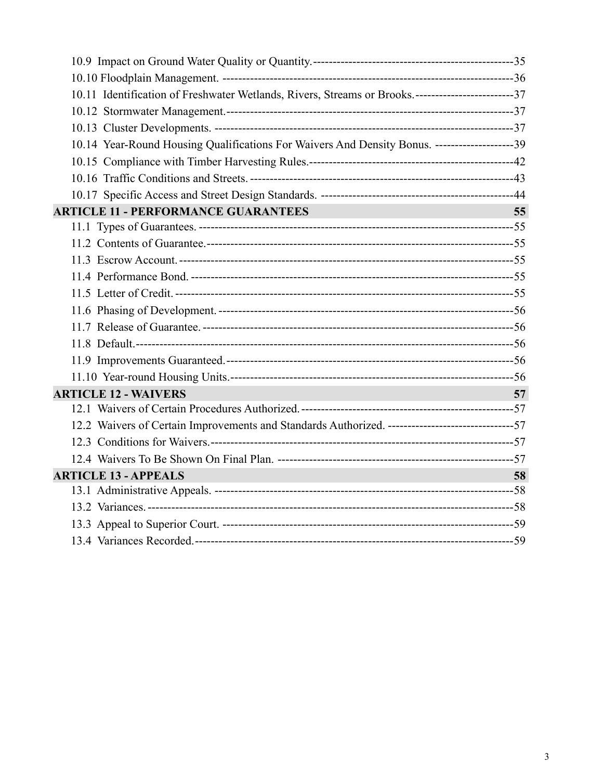| 10.11 Identification of Freshwater Wetlands, Rivers, Streams or Brooks.---------------------------37 |    |
|------------------------------------------------------------------------------------------------------|----|
|                                                                                                      |    |
|                                                                                                      |    |
| 10.14 Year-Round Housing Qualifications For Waivers And Density Bonus. ---------------------39       |    |
|                                                                                                      |    |
|                                                                                                      |    |
|                                                                                                      |    |
| <b>ARTICLE 11 - PERFORMANCE GUARANTEES</b>                                                           | 55 |
|                                                                                                      |    |
|                                                                                                      |    |
|                                                                                                      |    |
|                                                                                                      |    |
|                                                                                                      |    |
|                                                                                                      |    |
|                                                                                                      |    |
|                                                                                                      |    |
|                                                                                                      |    |
|                                                                                                      |    |
| <b>ARTICLE 12 - WAIVERS</b>                                                                          | 57 |
|                                                                                                      |    |
| 12.2 Waivers of Certain Improvements and Standards Authorized. ----------------------------------57  |    |
|                                                                                                      |    |
|                                                                                                      |    |
| <b>ARTICLE 13 - APPEALS</b>                                                                          | 58 |
|                                                                                                      |    |
|                                                                                                      |    |
|                                                                                                      |    |
|                                                                                                      |    |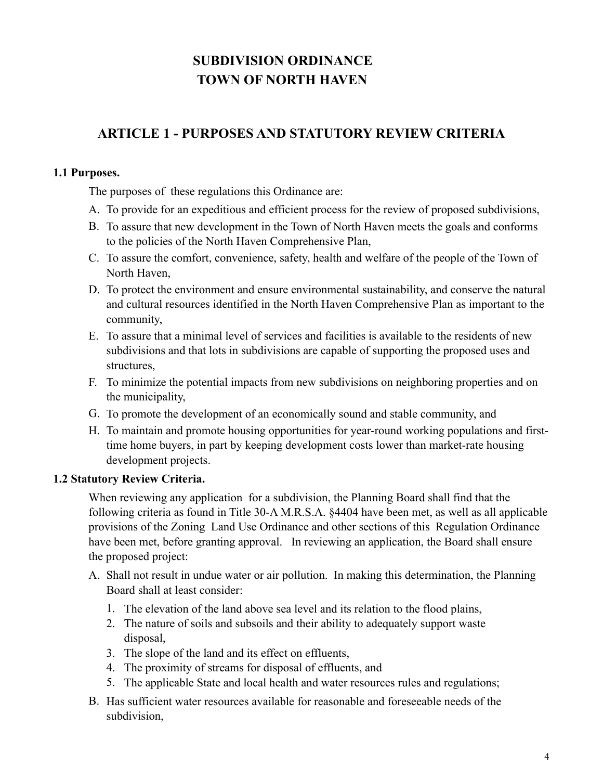# **SUBDIVISION ORDINANCE TOWN OF NORTH HAVEN**

# **ARTICLE 1 - PURPOSES AND STATUTORY REVIEW CRITERIA**

# **1.1 Purposes.**

The purposes of these regulations this Ordinance are:

- A. To provide for an expeditious and efficient process for the review of proposed subdivisions,
- B. To assure that new development in the Town of North Haven meets the goals and conforms to the policies of the North Haven Comprehensive Plan,
- C. To assure the comfort, convenience, safety, health and welfare of the people of the Town of North Haven,
- D. To protect the environment and ensure environmental sustainability, and conserve the natural and cultural resources identified in the North Haven Comprehensive Plan as important to the community,
- E. To assure that a minimal level of services and facilities is available to the residents of new subdivisions and that lots in subdivisions are capable of supporting the proposed uses and structures,
- F. To minimize the potential impacts from new subdivisions on neighboring properties and on the municipality,
- G. To promote the development of an economically sound and stable community, and
- H. To maintain and promote housing opportunities for year-round working populations and firsttime home buyers, in part by keeping development costs lower than market-rate housing development projects.

# **1.2 Statutory Review Criteria.**

 When reviewing any application for a subdivision, the Planning Board shall find that the following criteria as found in Title 30-A M.R.S.A. §4404 have been met, as well as all applicable provisions of the Zoning Land Use Ordinance and other sections of this Regulation Ordinance have been met, before granting approval. In reviewing an application, the Board shall ensure the proposed project:

- A. Shall not result in undue water or air pollution. In making this determination, the Planning Board shall at least consider:
	- 1. The elevation of the land above sea level and its relation to the flood plains,
	- 2. The nature of soils and subsoils and their ability to adequately support waste disposal,
	- 3. The slope of the land and its effect on effluents,
	- 4. The proximity of streams for disposal of effluents, and
	- 5. The applicable State and local health and water resources rules and regulations;
- B. Has sufficient water resources available for reasonable and foreseeable needs of the subdivision,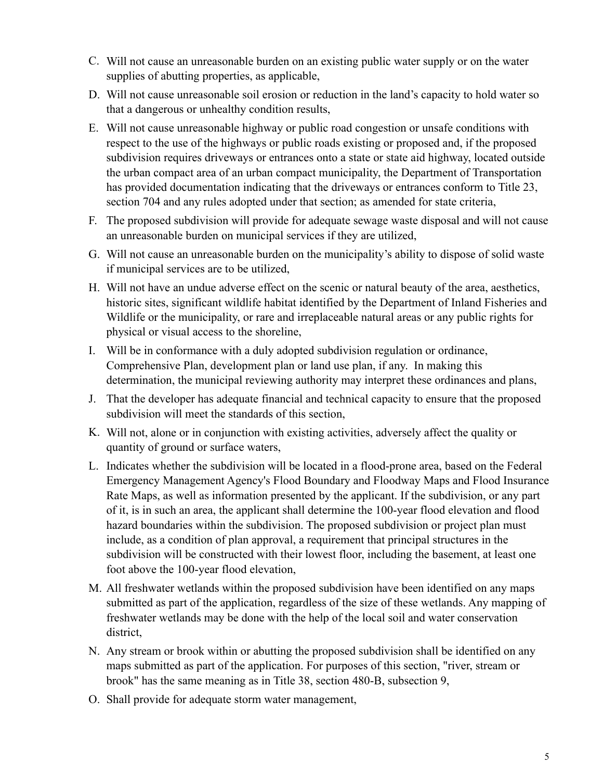- C. Will not cause an unreasonable burden on an existing public water supply or on the water supplies of abutting properties, as applicable,
- D. Will not cause unreasonable soil erosion or reduction in the land's capacity to hold water so that a dangerous or unhealthy condition results,
- E. Will not cause unreasonable highway or public road congestion or unsafe conditions with respect to the use of the highways or public roads existing or proposed and, if the proposed subdivision requires driveways or entrances onto a state or state aid highway, located outside the urban compact area of an urban compact municipality, the Department of Transportation has provided documentation indicating that the driveways or entrances conform to Title 23, section 704 and any rules adopted under that section; as amended for state criteria,
- F. The proposed subdivision will provide for adequate sewage waste disposal and will not cause an unreasonable burden on municipal services if they are utilized,
- G. Will not cause an unreasonable burden on the municipality's ability to dispose of solid waste if municipal services are to be utilized,
- H. Will not have an undue adverse effect on the scenic or natural beauty of the area, aesthetics, historic sites, significant wildlife habitat identified by the Department of Inland Fisheries and Wildlife or the municipality, or rare and irreplaceable natural areas or any public rights for physical or visual access to the shoreline,
- I. Will be in conformance with a duly adopted subdivision regulation or ordinance, Comprehensive Plan, development plan or land use plan, if any. In making this determination, the municipal reviewing authority may interpret these ordinances and plans,
- J. That the developer has adequate financial and technical capacity to ensure that the proposed subdivision will meet the standards of this section,
- K. Will not, alone or in conjunction with existing activities, adversely affect the quality or quantity of ground or surface waters,
- L. Indicates whether the subdivision will be located in a flood-prone area, based on the Federal Emergency Management Agency's Flood Boundary and Floodway Maps and Flood Insurance Rate Maps, as well as information presented by the applicant. If the subdivision, or any part of it, is in such an area, the applicant shall determine the 100-year flood elevation and flood hazard boundaries within the subdivision. The proposed subdivision or project plan must include, as a condition of plan approval, a requirement that principal structures in the subdivision will be constructed with their lowest floor, including the basement, at least one foot above the 100-year flood elevation,
- M. All freshwater wetlands within the proposed subdivision have been identified on any maps submitted as part of the application, regardless of the size of these wetlands. Any mapping of freshwater wetlands may be done with the help of the local soil and water conservation district,
- N. Any stream or brook within or abutting the proposed subdivision shall be identified on any maps submitted as part of the application. For purposes of this section, "river, stream or brook" has the same meaning as in Title 38, section 480-B, subsection 9,
- O. Shall provide for adequate storm water management,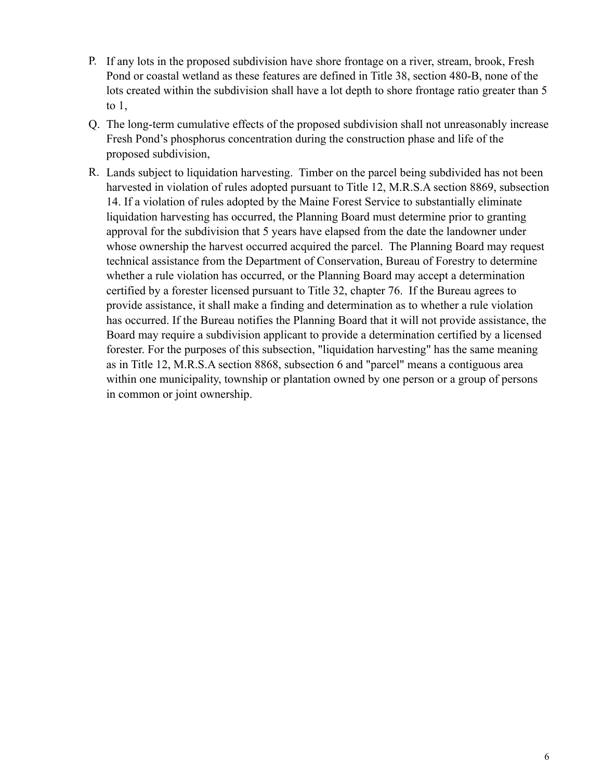- P. If any lots in the proposed subdivision have shore frontage on a river, stream, brook, Fresh Pond or coastal wetland as these features are defined in Title 38, section 480-B, none of the lots created within the subdivision shall have a lot depth to shore frontage ratio greater than 5 to  $1$ ,
- Q. The long-term cumulative effects of the proposed subdivision shall not unreasonably increase Fresh Pond's phosphorus concentration during the construction phase and life of the proposed subdivision,
- R. Lands subject to liquidation harvesting. Timber on the parcel being subdivided has not been harvested in violation of rules adopted pursuant to Title 12, M.R.S.A section 8869, subsection 14. If a violation of rules adopted by the Maine Forest Service to substantially eliminate liquidation harvesting has occurred, the Planning Board must determine prior to granting approval for the subdivision that 5 years have elapsed from the date the landowner under whose ownership the harvest occurred acquired the parcel. The Planning Board may request technical assistance from the Department of Conservation, Bureau of Forestry to determine whether a rule violation has occurred, or the Planning Board may accept a determination certified by a forester licensed pursuant to Title 32, chapter 76. If the Bureau agrees to provide assistance, it shall make a finding and determination as to whether a rule violation has occurred. If the Bureau notifies the Planning Board that it will not provide assistance, the Board may require a subdivision applicant to provide a determination certified by a licensed forester. For the purposes of this subsection, "liquidation harvesting" has the same meaning as in Title 12, M.R.S.A section 8868, subsection 6 and "parcel" means a contiguous area within one municipality, township or plantation owned by one person or a group of persons in common or joint ownership.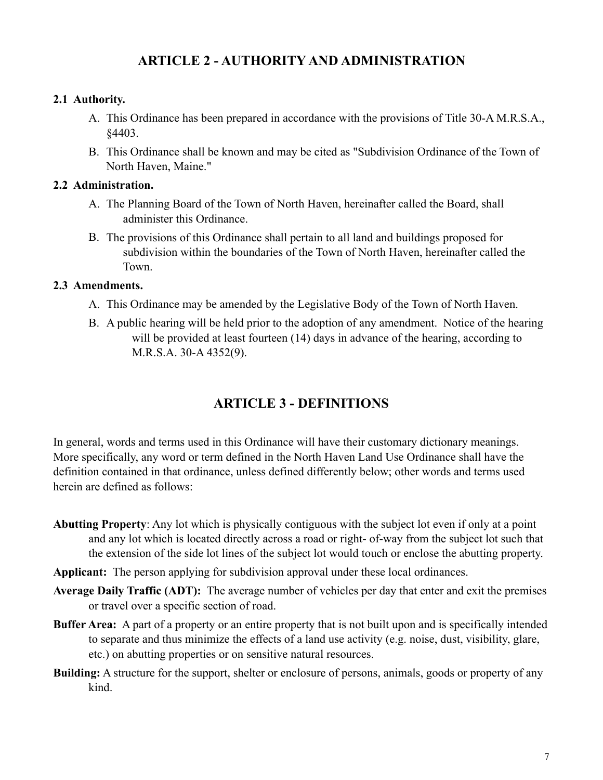# **ARTICLE 2 - AUTHORITY AND ADMINISTRATION**

### **2.1 Authority.**

- A. This Ordinance has been prepared in accordance with the provisions of Title 30-A M.R.S.A., §4403.
- B. This Ordinance shall be known and may be cited as "Subdivision Ordinance of the Town of North Haven, Maine."

#### **2.2 Administration.**

- A. The Planning Board of the Town of North Haven, hereinafter called the Board, shall administer this Ordinance.
- B. The provisions of this Ordinance shall pertain to all land and buildings proposed for subdivision within the boundaries of the Town of North Haven, hereinafter called the Town.

#### **2.3 Amendments.**

- A. This Ordinance may be amended by the Legislative Body of the Town of North Haven.
- B. A public hearing will be held prior to the adoption of any amendment. Notice of the hearing will be provided at least fourteen (14) days in advance of the hearing, according to M.R.S.A. 30-A 4352(9).

# **ARTICLE 3 - DEFINITIONS**

In general, words and terms used in this Ordinance will have their customary dictionary meanings. More specifically, any word or term defined in the North Haven Land Use Ordinance shall have the definition contained in that ordinance, unless defined differently below; other words and terms used herein are defined as follows:

- **Abutting Property**: Any lot which is physically contiguous with the subject lot even if only at a point and any lot which is located directly across a road or right- of-way from the subject lot such that the extension of the side lot lines of the subject lot would touch or enclose the abutting property.
- **Applicant:** The person applying for subdivision approval under these local ordinances.
- **Average Daily Traffic (ADT):** The average number of vehicles per day that enter and exit the premises or travel over a specific section of road.
- **Buffer Area:** A part of a property or an entire property that is not built upon and is specifically intended to separate and thus minimize the effects of a land use activity (e.g. noise, dust, visibility, glare, etc.) on abutting properties or on sensitive natural resources.
- **Building:** A structure for the support, shelter or enclosure of persons, animals, goods or property of any kind.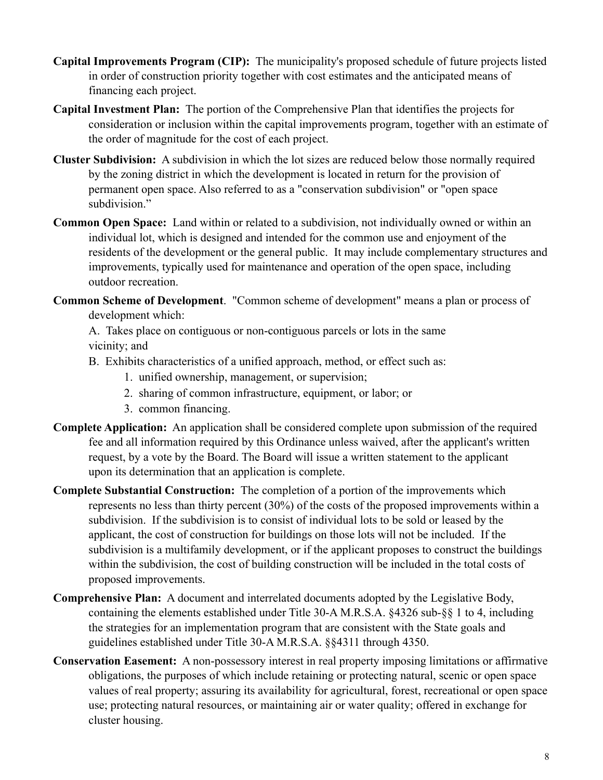- **Capital Improvements Program (CIP):** The municipality's proposed schedule of future projects listed in order of construction priority together with cost estimates and the anticipated means of financing each project.
- **Capital Investment Plan:** The portion of the Comprehensive Plan that identifies the projects for consideration or inclusion within the capital improvements program, together with an estimate of the order of magnitude for the cost of each project.
- **Cluster Subdivision:** A subdivision in which the lot sizes are reduced below those normally required by the zoning district in which the development is located in return for the provision of permanent open space. Also referred to as a "conservation subdivision" or "open space subdivision."
- **Common Open Space:** Land within or related to a subdivision, not individually owned or within an individual lot, which is designed and intended for the common use and enjoyment of the residents of the development or the general public. It may include complementary structures and improvements, typically used for maintenance and operation of the open space, including outdoor recreation.
- **Common Scheme of Development**. "Common scheme of development" means a plan or process of development which:

 A. Takes place on contiguous or non-contiguous parcels or lots in the same vicinity; and

- B. Exhibits characteristics of a unified approach, method, or effect such as:
	- 1. unified ownership, management, or supervision;
	- 2. sharing of common infrastructure, equipment, or labor; or
	- 3. common financing.
- **Complete Application:** An application shall be considered complete upon submission of the required fee and all information required by this Ordinance unless waived, after the applicant's written request, by a vote by the Board. The Board will issue a written statement to the applicant upon its determination that an application is complete.
- **Complete Substantial Construction:** The completion of a portion of the improvements which represents no less than thirty percent (30%) of the costs of the proposed improvements within a subdivision. If the subdivision is to consist of individual lots to be sold or leased by the applicant, the cost of construction for buildings on those lots will not be included. If the subdivision is a multifamily development, or if the applicant proposes to construct the buildings within the subdivision, the cost of building construction will be included in the total costs of proposed improvements.
- **Comprehensive Plan:** A document and interrelated documents adopted by the Legislative Body, containing the elements established under Title 30-A M.R.S.A. §4326 sub-§§ 1 to 4, including the strategies for an implementation program that are consistent with the State goals and guidelines established under Title 30-A M.R.S.A. §§4311 through 4350.
- **Conservation Easement:** A non-possessory interest in real property imposing limitations or affirmative obligations, the purposes of which include retaining or protecting natural, scenic or open space values of real property; assuring its availability for agricultural, forest, recreational or open space use; protecting natural resources, or maintaining air or water quality; offered in exchange for cluster housing.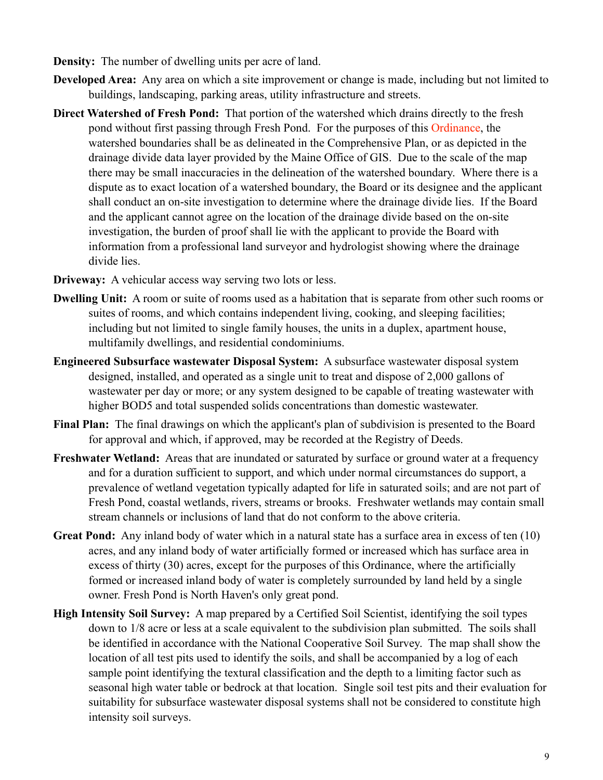- **Density:** The number of dwelling units per acre of land.
- **Developed Area:** Any area on which a site improvement or change is made, including but not limited to buildings, landscaping, parking areas, utility infrastructure and streets.
- **Direct Watershed of Fresh Pond:** That portion of the watershed which drains directly to the fresh pond without first passing through Fresh Pond. For the purposes of this Ordinance, the watershed boundaries shall be as delineated in the Comprehensive Plan, or as depicted in the drainage divide data layer provided by the Maine Office of GIS. Due to the scale of the map there may be small inaccuracies in the delineation of the watershed boundary. Where there is a dispute as to exact location of a watershed boundary, the Board or its designee and the applicant shall conduct an on-site investigation to determine where the drainage divide lies. If the Board and the applicant cannot agree on the location of the drainage divide based on the on-site investigation, the burden of proof shall lie with the applicant to provide the Board with information from a professional land surveyor and hydrologist showing where the drainage divide lies.
- **Driveway:** A vehicular access way serving two lots or less.
- **Dwelling Unit:** A room or suite of rooms used as a habitation that is separate from other such rooms or suites of rooms, and which contains independent living, cooking, and sleeping facilities; including but not limited to single family houses, the units in a duplex, apartment house, multifamily dwellings, and residential condominiums.
- **Engineered Subsurface wastewater Disposal System:** A subsurface wastewater disposal system designed, installed, and operated as a single unit to treat and dispose of 2,000 gallons of wastewater per day or more; or any system designed to be capable of treating wastewater with higher BOD5 and total suspended solids concentrations than domestic wastewater.
- **Final Plan:** The final drawings on which the applicant's plan of subdivision is presented to the Board for approval and which, if approved, may be recorded at the Registry of Deeds.
- **Freshwater Wetland:** Areas that are inundated or saturated by surface or ground water at a frequency and for a duration sufficient to support, and which under normal circumstances do support, a prevalence of wetland vegetation typically adapted for life in saturated soils; and are not part of Fresh Pond, coastal wetlands, rivers, streams or brooks. Freshwater wetlands may contain small stream channels or inclusions of land that do not conform to the above criteria.
- **Great Pond:** Any inland body of water which in a natural state has a surface area in excess of ten (10) acres, and any inland body of water artificially formed or increased which has surface area in excess of thirty (30) acres, except for the purposes of this Ordinance, where the artificially formed or increased inland body of water is completely surrounded by land held by a single owner. Fresh Pond is North Haven's only great pond.
- **High Intensity Soil Survey:** A map prepared by a Certified Soil Scientist, identifying the soil types down to 1/8 acre or less at a scale equivalent to the subdivision plan submitted. The soils shall be identified in accordance with the National Cooperative Soil Survey. The map shall show the location of all test pits used to identify the soils, and shall be accompanied by a log of each sample point identifying the textural classification and the depth to a limiting factor such as seasonal high water table or bedrock at that location. Single soil test pits and their evaluation for suitability for subsurface wastewater disposal systems shall not be considered to constitute high intensity soil surveys.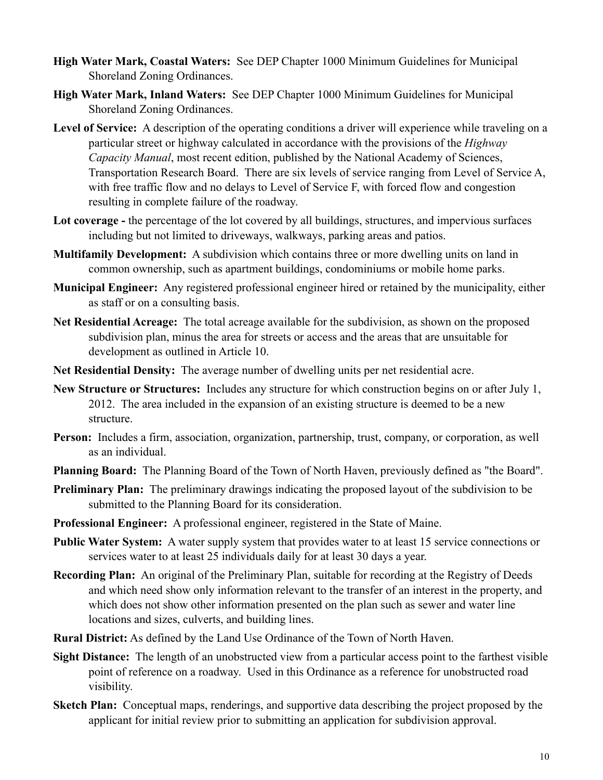- **High Water Mark, Coastal Waters:** See DEP Chapter 1000 Minimum Guidelines for Municipal Shoreland Zoning Ordinances.
- **High Water Mark, Inland Waters:** See DEP Chapter 1000 Minimum Guidelines for Municipal Shoreland Zoning Ordinances.
- **Level of Service:** A description of the operating conditions a driver will experience while traveling on a particular street or highway calculated in accordance with the provisions of the *Highway Capacity Manual*, most recent edition, published by the National Academy of Sciences, Transportation Research Board. There are six levels of service ranging from Level of Service A, with free traffic flow and no delays to Level of Service F, with forced flow and congestion resulting in complete failure of the roadway.
- **Lot coverage -** the percentage of the lot covered by all buildings, structures, and impervious surfaces including but not limited to driveways, walkways, parking areas and patios.
- **Multifamily Development:** A subdivision which contains three or more dwelling units on land in common ownership, such as apartment buildings, condominiums or mobile home parks.
- **Municipal Engineer:** Any registered professional engineer hired or retained by the municipality, either as staff or on a consulting basis.
- **Net Residential Acreage:** The total acreage available for the subdivision, as shown on the proposed subdivision plan, minus the area for streets or access and the areas that are unsuitable for development as outlined in Article 10.
- **Net Residential Density:** The average number of dwelling units per net residential acre.
- **New Structure or Structures:** Includes any structure for which construction begins on or after July 1, 2012. The area included in the expansion of an existing structure is deemed to be a new structure.
- **Person:** Includes a firm, association, organization, partnership, trust, company, or corporation, as well as an individual.
- **Planning Board:** The Planning Board of the Town of North Haven, previously defined as "the Board".
- **Preliminary Plan:** The preliminary drawings indicating the proposed layout of the subdivision to be submitted to the Planning Board for its consideration.
- **Professional Engineer:** A professional engineer, registered in the State of Maine.
- **Public Water System:** A water supply system that provides water to at least 15 service connections or services water to at least 25 individuals daily for at least 30 days a year.
- **Recording Plan:** An original of the Preliminary Plan, suitable for recording at the Registry of Deeds and which need show only information relevant to the transfer of an interest in the property, and which does not show other information presented on the plan such as sewer and water line locations and sizes, culverts, and building lines.
- **Rural District:** As defined by the Land Use Ordinance of the Town of North Haven.
- **Sight Distance:** The length of an unobstructed view from a particular access point to the farthest visible point of reference on a roadway. Used in this Ordinance as a reference for unobstructed road visibility.
- **Sketch Plan:** Conceptual maps, renderings, and supportive data describing the project proposed by the applicant for initial review prior to submitting an application for subdivision approval.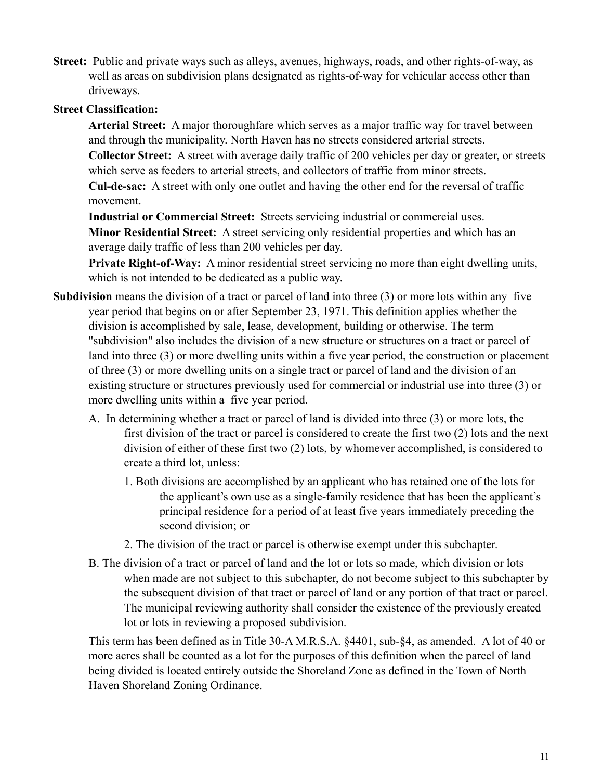**Street:** Public and private ways such as alleys, avenues, highways, roads, and other rights-of-way, as well as areas on subdivision plans designated as rights-of-way for vehicular access other than driveways.

## **Street Classification:**

**Arterial Street:** A major thoroughfare which serves as a major traffic way for travel between and through the municipality. North Haven has no streets considered arterial streets.

**Collector Street:** A street with average daily traffic of 200 vehicles per day or greater, or streets which serve as feeders to arterial streets, and collectors of traffic from minor streets.

**Cul-de-sac:** A street with only one outlet and having the other end for the reversal of traffic movement.

**Industrial or Commercial Street:** Streets servicing industrial or commercial uses.

**Minor Residential Street:** A street servicing only residential properties and which has an average daily traffic of less than 200 vehicles per day.

**Private Right-of-Way:** A minor residential street servicing no more than eight dwelling units, which is not intended to be dedicated as a public way.

- **Subdivision** means the division of a tract or parcel of land into three (3) or more lots within any five year period that begins on or after September 23, 1971. This definition applies whether the division is accomplished by sale, lease, development, building or otherwise. The term "subdivision" also includes the division of a new structure or structures on a tract or parcel of land into three (3) or more dwelling units within a five year period, the construction or placement of three (3) or more dwelling units on a single tract or parcel of land and the division of an existing structure or structures previously used for commercial or industrial use into three (3) or more dwelling units within a five year period.
	- A.In determining whether a tract or parcel of land is divided into three (3) or more lots, the first division of the tract or parcel is considered to create the first two (2) lots and the next division of either of these first two (2) lots, by whomever accomplished, is considered to create a third lot, unless:
		- 1. Both divisions are accomplished by an applicant who has retained one of the lots for the applicant's own use as a single-family residence that has been the applicant's principal residence for a period of at least five years immediately preceding the second division; or
		- 2. The division of the tract or parcel is otherwise exempt under this subchapter.
	- B. The division of a tract or parcel of land and the lot or lots so made, which division or lots when made are not subject to this subchapter, do not become subject to this subchapter by the subsequent division of that tract or parcel of land or any portion of that tract or parcel. The municipal reviewing authority shall consider the existence of the previously created lot or lots in reviewing a proposed subdivision.

This term has been defined as in Title 30-A M.R.S.A. §4401, sub-§4, as amended.A lot of 40 or more acres shall be counted as a lot for the purposes of this definition when the parcel of land being divided is located entirely outside the Shoreland Zone as defined in the Town of North Haven Shoreland Zoning Ordinance.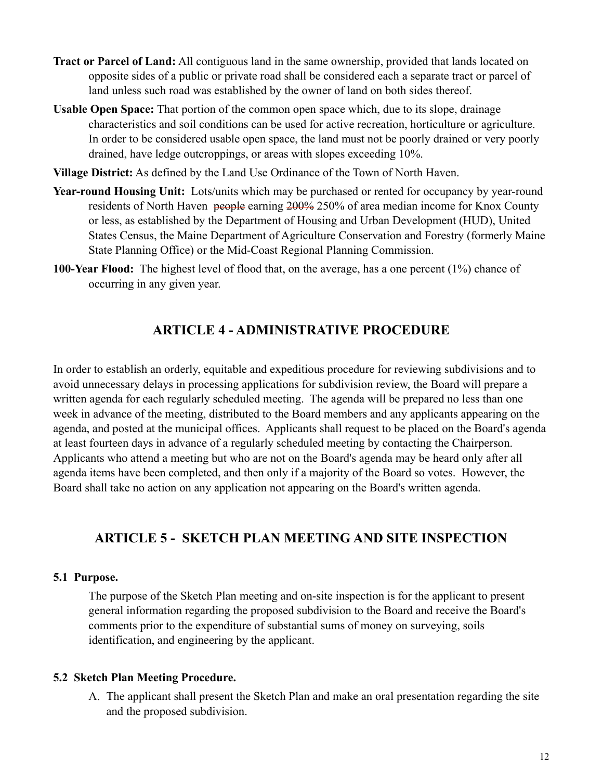- **Tract or Parcel of Land:** All contiguous land in the same ownership, provided that lands located on opposite sides of a public or private road shall be considered each a separate tract or parcel of land unless such road was established by the owner of land on both sides thereof.
- **Usable Open Space:** That portion of the common open space which, due to its slope, drainage characteristics and soil conditions can be used for active recreation, horticulture or agriculture. In order to be considered usable open space, the land must not be poorly drained or very poorly drained, have ledge outcroppings, or areas with slopes exceeding 10%.
- **Village District:** As defined by the Land Use Ordinance of the Town of North Haven.
- **Year-round Housing Unit:** Lots/units which may be purchased or rented for occupancy by year-round residents of North Haven people earning 200% 250% of area median income for Knox County or less, as established by the Department of Housing and Urban Development (HUD), United States Census, the Maine Department of Agriculture Conservation and Forestry (formerly Maine State Planning Office) or the Mid-Coast Regional Planning Commission.
- **100-Year Flood:** The highest level of flood that, on the average, has a one percent (1%) chance of occurring in any given year.

# **ARTICLE 4 - ADMINISTRATIVE PROCEDURE**

In order to establish an orderly, equitable and expeditious procedure for reviewing subdivisions and to avoid unnecessary delays in processing applications for subdivision review, the Board will prepare a written agenda for each regularly scheduled meeting. The agenda will be prepared no less than one week in advance of the meeting, distributed to the Board members and any applicants appearing on the agenda, and posted at the municipal offices. Applicants shall request to be placed on the Board's agenda at least fourteen days in advance of a regularly scheduled meeting by contacting the Chairperson. Applicants who attend a meeting but who are not on the Board's agenda may be heard only after all agenda items have been completed, and then only if a majority of the Board so votes. However, the Board shall take no action on any application not appearing on the Board's written agenda.

# **ARTICLE 5 - SKETCH PLAN MEETING AND SITE INSPECTION**

#### **5.1 Purpose.**

The purpose of the Sketch Plan meeting and on-site inspection is for the applicant to present general information regarding the proposed subdivision to the Board and receive the Board's comments prior to the expenditure of substantial sums of money on surveying, soils identification, and engineering by the applicant.

#### **5.2 Sketch Plan Meeting Procedure.**

A. The applicant shall present the Sketch Plan and make an oral presentation regarding the site and the proposed subdivision.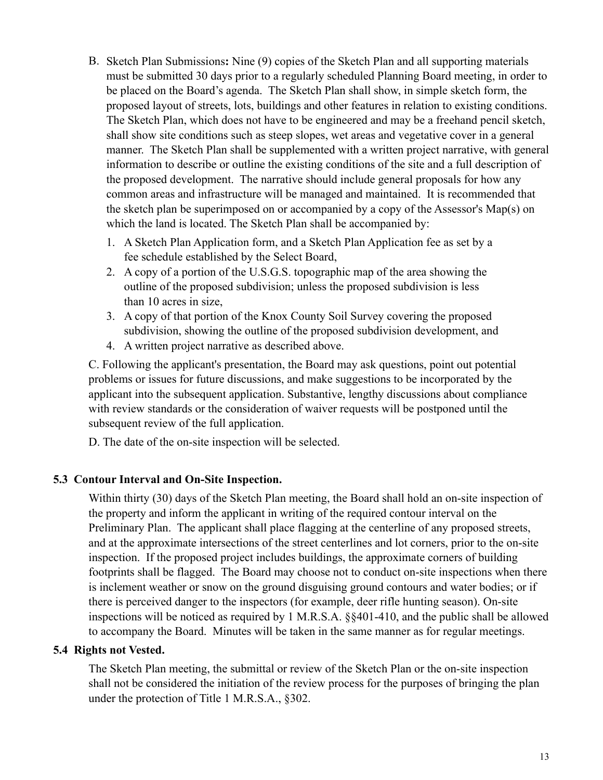- B. Sketch Plan Submissions**:** Nine (9) copies of the Sketch Plan and all supporting materials must be submitted 30 days prior to a regularly scheduled Planning Board meeting, in order to be placed on the Board's agenda. The Sketch Plan shall show, in simple sketch form, the proposed layout of streets, lots, buildings and other features in relation to existing conditions. The Sketch Plan, which does not have to be engineered and may be a freehand pencil sketch, shall show site conditions such as steep slopes, wet areas and vegetative cover in a general manner. The Sketch Plan shall be supplemented with a written project narrative, with general information to describe or outline the existing conditions of the site and a full description of the proposed development. The narrative should include general proposals for how any common areas and infrastructure will be managed and maintained. It is recommended that the sketch plan be superimposed on or accompanied by a copy of the Assessor's Map(s) on which the land is located. The Sketch Plan shall be accompanied by:
	- 1. A Sketch Plan Application form, and a Sketch Plan Application fee as set by a fee schedule established by the Select Board,
	- 2. A copy of a portion of the U.S.G.S. topographic map of the area showing the outline of the proposed subdivision; unless the proposed subdivision is less than 10 acres in size,
	- 3. A copy of that portion of the Knox County Soil Survey covering the proposed subdivision, showing the outline of the proposed subdivision development, and
	- 4. A written project narrative as described above.

C. Following the applicant's presentation, the Board may ask questions, point out potential problems or issues for future discussions, and make suggestions to be incorporated by the applicant into the subsequent application. Substantive, lengthy discussions about compliance with review standards or the consideration of waiver requests will be postponed until the subsequent review of the full application.

D. The date of the on-site inspection will be selected.

# **5.3 Contour Interval and On-Site Inspection.**

Within thirty (30) days of the Sketch Plan meeting, the Board shall hold an on-site inspection of the property and inform the applicant in writing of the required contour interval on the Preliminary Plan. The applicant shall place flagging at the centerline of any proposed streets, and at the approximate intersections of the street centerlines and lot corners, prior to the on-site inspection. If the proposed project includes buildings, the approximate corners of building footprints shall be flagged. The Board may choose not to conduct on-site inspections when there is inclement weather or snow on the ground disguising ground contours and water bodies; or if there is perceived danger to the inspectors (for example, deer rifle hunting season). On-site inspections will be noticed as required by 1 M.R.S.A. §§401-410, and the public shall be allowed to accompany the Board. Minutes will be taken in the same manner as for regular meetings.

### **5.4 Rights not Vested.**

The Sketch Plan meeting, the submittal or review of the Sketch Plan or the on-site inspection shall not be considered the initiation of the review process for the purposes of bringing the plan under the protection of Title 1 M.R.S.A., §302.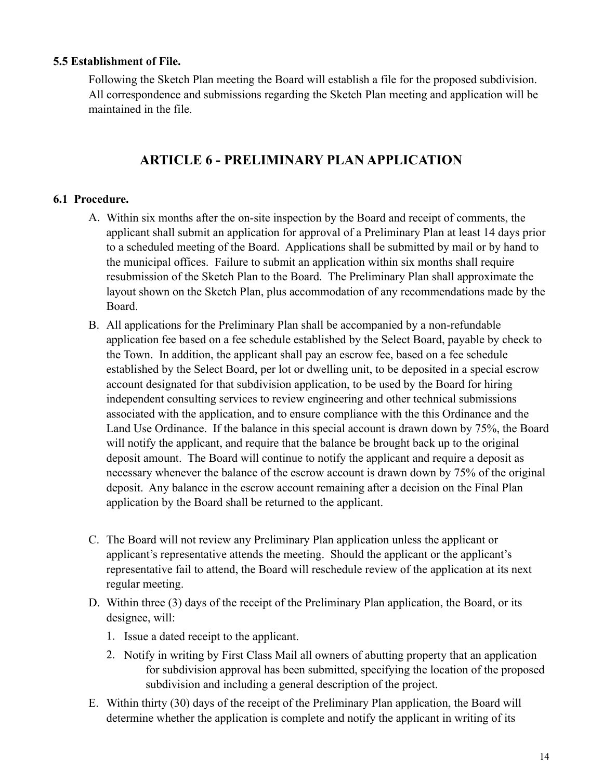### **5.5 Establishment of File.**

Following the Sketch Plan meeting the Board will establish a file for the proposed subdivision. All correspondence and submissions regarding the Sketch Plan meeting and application will be maintained in the file.

# **ARTICLE 6 - PRELIMINARY PLAN APPLICATION**

#### **6.1 Procedure.**

- A. Within six months after the on-site inspection by the Board and receipt of comments, the applicant shall submit an application for approval of a Preliminary Plan at least 14 days prior to a scheduled meeting of the Board. Applications shall be submitted by mail or by hand to the municipal offices. Failure to submit an application within six months shall require resubmission of the Sketch Plan to the Board. The Preliminary Plan shall approximate the layout shown on the Sketch Plan, plus accommodation of any recommendations made by the Board.
- B. All applications for the Preliminary Plan shall be accompanied by a non-refundable application fee based on a fee schedule established by the Select Board, payable by check to the Town. In addition, the applicant shall pay an escrow fee, based on a fee schedule established by the Select Board, per lot or dwelling unit, to be deposited in a special escrow account designated for that subdivision application, to be used by the Board for hiring independent consulting services to review engineering and other technical submissions associated with the application, and to ensure compliance with the this Ordinance and the Land Use Ordinance. If the balance in this special account is drawn down by 75%, the Board will notify the applicant, and require that the balance be brought back up to the original deposit amount. The Board will continue to notify the applicant and require a deposit as necessary whenever the balance of the escrow account is drawn down by 75% of the original deposit. Any balance in the escrow account remaining after a decision on the Final Plan application by the Board shall be returned to the applicant.
- C. The Board will not review any Preliminary Plan application unless the applicant or applicant's representative attends the meeting. Should the applicant or the applicant's representative fail to attend, the Board will reschedule review of the application at its next regular meeting.
- D. Within three (3) days of the receipt of the Preliminary Plan application, the Board, or its designee, will:
	- 1. Issue a dated receipt to the applicant.
	- 2. Notify in writing by First Class Mail all owners of abutting property that an application for subdivision approval has been submitted, specifying the location of the proposed subdivision and including a general description of the project.
- E. Within thirty (30) days of the receipt of the Preliminary Plan application, the Board will determine whether the application is complete and notify the applicant in writing of its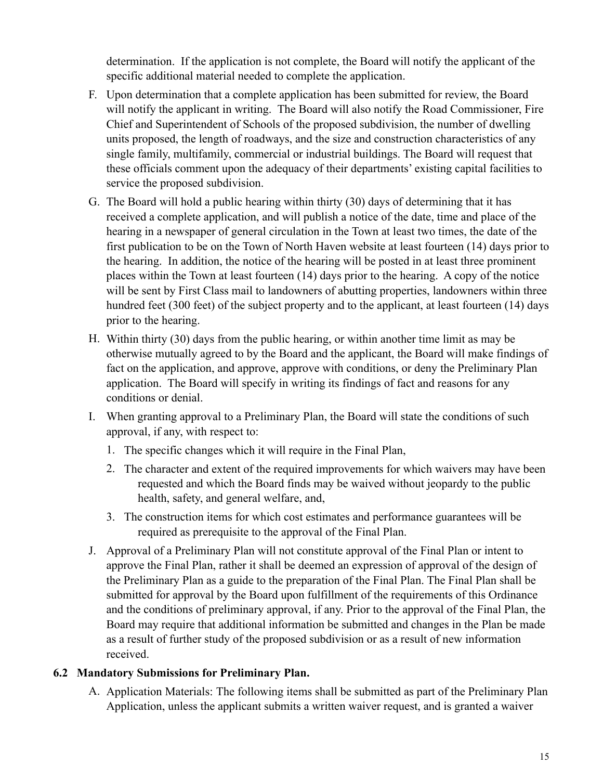determination. If the application is not complete, the Board will notify the applicant of the specific additional material needed to complete the application.

- F. Upon determination that a complete application has been submitted for review, the Board will notify the applicant in writing. The Board will also notify the Road Commissioner, Fire Chief and Superintendent of Schools of the proposed subdivision, the number of dwelling units proposed, the length of roadways, and the size and construction characteristics of any single family, multifamily, commercial or industrial buildings. The Board will request that these officials comment upon the adequacy of their departments' existing capital facilities to service the proposed subdivision.
- G. The Board will hold a public hearing within thirty (30) days of determining that it has received a complete application, and will publish a notice of the date, time and place of the hearing in a newspaper of general circulation in the Town at least two times, the date of the first publication to be on the Town of North Haven website at least fourteen (14) days prior to the hearing. In addition, the notice of the hearing will be posted in at least three prominent places within the Town at least fourteen (14) days prior to the hearing. A copy of the notice will be sent by First Class mail to landowners of abutting properties, landowners within three hundred feet (300 feet) of the subject property and to the applicant, at least fourteen (14) days prior to the hearing.
- H. Within thirty (30) days from the public hearing, or within another time limit as may be otherwise mutually agreed to by the Board and the applicant, the Board will make findings of fact on the application, and approve, approve with conditions, or deny the Preliminary Plan application. The Board will specify in writing its findings of fact and reasons for any conditions or denial.
- I. When granting approval to a Preliminary Plan, the Board will state the conditions of such approval, if any, with respect to:
	- 1. The specific changes which it will require in the Final Plan,
	- 2. The character and extent of the required improvements for which waivers may have been requested and which the Board finds may be waived without jeopardy to the public health, safety, and general welfare, and,
	- 3. The construction items for which cost estimates and performance guarantees will be required as prerequisite to the approval of the Final Plan.
- J. Approval of a Preliminary Plan will not constitute approval of the Final Plan or intent to approve the Final Plan, rather it shall be deemed an expression of approval of the design of the Preliminary Plan as a guide to the preparation of the Final Plan. The Final Plan shall be submitted for approval by the Board upon fulfillment of the requirements of this Ordinance and the conditions of preliminary approval, if any. Prior to the approval of the Final Plan, the Board may require that additional information be submitted and changes in the Plan be made as a result of further study of the proposed subdivision or as a result of new information received.

### **6.2 Mandatory Submissions for Preliminary Plan.**

A. Application Materials: The following items shall be submitted as part of the Preliminary Plan Application, unless the applicant submits a written waiver request, and is granted a waiver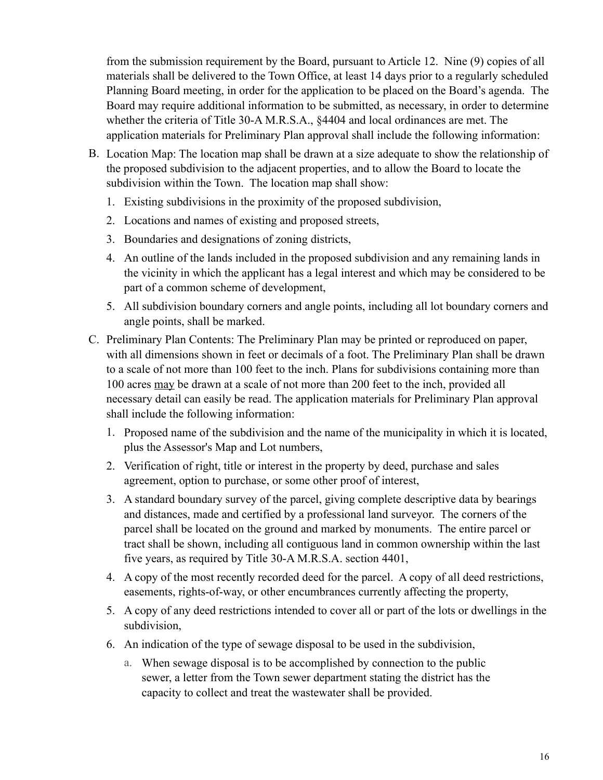from the submission requirement by the Board, pursuant to Article 12. Nine (9) copies of all materials shall be delivered to the Town Office, at least 14 days prior to a regularly scheduled Planning Board meeting, in order for the application to be placed on the Board's agenda. The Board may require additional information to be submitted, as necessary, in order to determine whether the criteria of Title 30-A M.R.S.A., §4404 and local ordinances are met. The application materials for Preliminary Plan approval shall include the following information:

- B. Location Map: The location map shall be drawn at a size adequate to show the relationship of the proposed subdivision to the adjacent properties, and to allow the Board to locate the subdivision within the Town. The location map shall show:
	- 1. Existing subdivisions in the proximity of the proposed subdivision,
	- 2. Locations and names of existing and proposed streets,
	- 3. Boundaries and designations of zoning districts,
	- 4. An outline of the lands included in the proposed subdivision and any remaining lands in the vicinity in which the applicant has a legal interest and which may be considered to be part of a common scheme of development,
	- 5. All subdivision boundary corners and angle points, including all lot boundary corners and angle points, shall be marked.
- C. Preliminary Plan Contents: The Preliminary Plan may be printed or reproduced on paper, with all dimensions shown in feet or decimals of a foot. The Preliminary Plan shall be drawn to a scale of not more than 100 feet to the inch. Plans for subdivisions containing more than 100 acres may be drawn at a scale of not more than 200 feet to the inch, provided all necessary detail can easily be read. The application materials for Preliminary Plan approval shall include the following information:
	- 1. Proposed name of the subdivision and the name of the municipality in which it is located, plus the Assessor's Map and Lot numbers,
	- 2. Verification of right, title or interest in the property by deed, purchase and sales agreement, option to purchase, or some other proof of interest,
	- 3. A standard boundary survey of the parcel, giving complete descriptive data by bearings and distances, made and certified by a professional land surveyor. The corners of the parcel shall be located on the ground and marked by monuments. The entire parcel or tract shall be shown, including all contiguous land in common ownership within the last five years, as required by Title 30-A M.R.S.A. section 4401,
	- 4. A copy of the most recently recorded deed for the parcel. A copy of all deed restrictions, easements, rights-of-way, or other encumbrances currently affecting the property,
	- 5. A copy of any deed restrictions intended to cover all or part of the lots or dwellings in the subdivision,
	- 6. An indication of the type of sewage disposal to be used in the subdivision,
		- a. When sewage disposal is to be accomplished by connection to the public sewer, a letter from the Town sewer department stating the district has the capacity to collect and treat the wastewater shall be provided.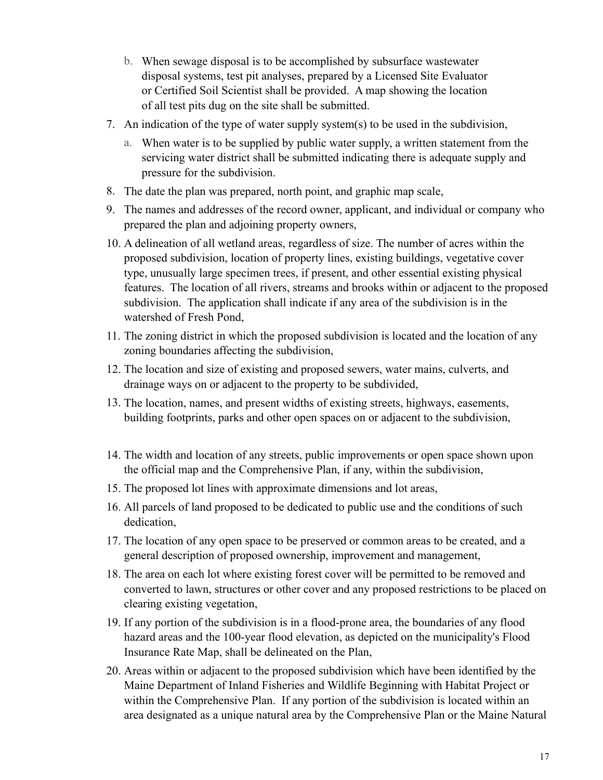- b. When sewage disposal is to be accomplished by subsurface wastewater disposal systems, test pit analyses, prepared by a Licensed Site Evaluator or Certified Soil Scientist shall be provided. A map showing the location of all test pits dug on the site shall be submitted.
- 7. An indication of the type of water supply system(s) to be used in the subdivision,
	- a. When water is to be supplied by public water supply, a written statement from the servicing water district shall be submitted indicating there is adequate supply and pressure for the subdivision.
- 8. The date the plan was prepared, north point, and graphic map scale,
- 9. The names and addresses of the record owner, applicant, and individual or company who prepared the plan and adjoining property owners,
- 10. A delineation of all wetland areas, regardless of size. The number of acres within the proposed subdivision, location of property lines, existing buildings, vegetative cover type, unusually large specimen trees, if present, and other essential existing physical features. The location of all rivers, streams and brooks within or adjacent to the proposed subdivision. The application shall indicate if any area of the subdivision is in the watershed of Fresh Pond,
- 11. The zoning district in which the proposed subdivision is located and the location of any zoning boundaries affecting the subdivision,
- 12. The location and size of existing and proposed sewers, water mains, culverts, and drainage ways on or adjacent to the property to be subdivided,
- 13. The location, names, and present widths of existing streets, highways, easements, building footprints, parks and other open spaces on or adjacent to the subdivision,
- 14. The width and location of any streets, public improvements or open space shown upon the official map and the Comprehensive Plan, if any, within the subdivision,
- 15. The proposed lot lines with approximate dimensions and lot areas,
- 16. All parcels of land proposed to be dedicated to public use and the conditions of such dedication,
- 17. The location of any open space to be preserved or common areas to be created, and a general description of proposed ownership, improvement and management,
- 18. The area on each lot where existing forest cover will be permitted to be removed and converted to lawn, structures or other cover and any proposed restrictions to be placed on clearing existing vegetation,
- 19. If any portion of the subdivision is in a flood-prone area, the boundaries of any flood hazard areas and the 100-year flood elevation, as depicted on the municipality's Flood Insurance Rate Map, shall be delineated on the Plan,
- 20. Areas within or adjacent to the proposed subdivision which have been identified by the Maine Department of Inland Fisheries and Wildlife Beginning with Habitat Project or within the Comprehensive Plan. If any portion of the subdivision is located within an area designated as a unique natural area by the Comprehensive Plan or the Maine Natural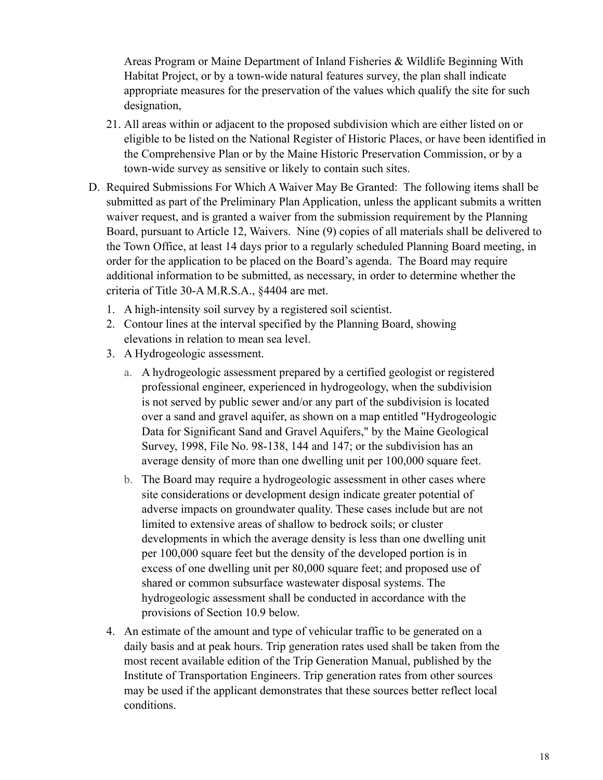Areas Program or Maine Department of Inland Fisheries & Wildlife Beginning With Habitat Project, or by a town-wide natural features survey, the plan shall indicate appropriate measures for the preservation of the values which qualify the site for such designation,

- 21. All areas within or adjacent to the proposed subdivision which are either listed on or eligible to be listed on the National Register of Historic Places, or have been identified in the Comprehensive Plan or by the Maine Historic Preservation Commission, or by a town-wide survey as sensitive or likely to contain such sites.
- D. Required Submissions For Which A Waiver May Be Granted: The following items shall be submitted as part of the Preliminary Plan Application, unless the applicant submits a written waiver request, and is granted a waiver from the submission requirement by the Planning Board, pursuant to Article 12, Waivers. Nine (9) copies of all materials shall be delivered to the Town Office, at least 14 days prior to a regularly scheduled Planning Board meeting, in order for the application to be placed on the Board's agenda. The Board may require additional information to be submitted, as necessary, in order to determine whether the criteria of Title 30-A M.R.S.A., §4404 are met.
	- 1. A high-intensity soil survey by a registered soil scientist.
	- 2. Contour lines at the interval specified by the Planning Board, showing elevations in relation to mean sea level.
	- 3. A Hydrogeologic assessment.
		- a. A hydrogeologic assessment prepared by a certified geologist or registered professional engineer, experienced in hydrogeology, when the subdivision is not served by public sewer and/or any part of the subdivision is located over a sand and gravel aquifer, as shown on a map entitled "Hydrogeologic Data for Significant Sand and Gravel Aquifers," by the Maine Geological Survey, 1998, File No. 98-138, 144 and 147; or the subdivision has an average density of more than one dwelling unit per 100,000 square feet.
		- b. The Board may require a hydrogeologic assessment in other cases where site considerations or development design indicate greater potential of adverse impacts on groundwater quality. These cases include but are not limited to extensive areas of shallow to bedrock soils; or cluster developments in which the average density is less than one dwelling unit per 100,000 square feet but the density of the developed portion is in excess of one dwelling unit per 80,000 square feet; and proposed use of shared or common subsurface wastewater disposal systems. The hydrogeologic assessment shall be conducted in accordance with the provisions of Section 10.9 below.
	- 4. An estimate of the amount and type of vehicular traffic to be generated on a daily basis and at peak hours. Trip generation rates used shall be taken from the most recent available edition of the Trip Generation Manual, published by the Institute of Transportation Engineers. Trip generation rates from other sources may be used if the applicant demonstrates that these sources better reflect local conditions.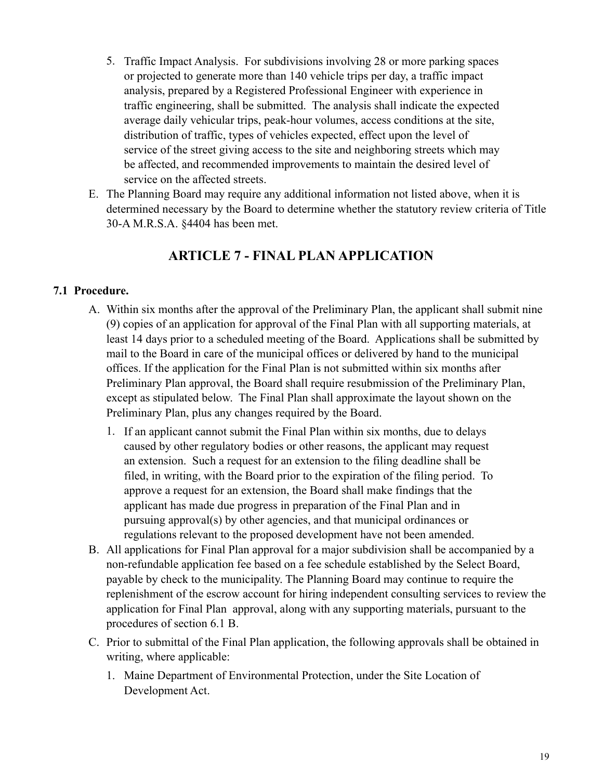- 5. Traffic Impact Analysis. For subdivisions involving 28 or more parking spaces or projected to generate more than 140 vehicle trips per day, a traffic impact analysis, prepared by a Registered Professional Engineer with experience in traffic engineering, shall be submitted. The analysis shall indicate the expected average daily vehicular trips, peak-hour volumes, access conditions at the site, distribution of traffic, types of vehicles expected, effect upon the level of service of the street giving access to the site and neighboring streets which may be affected, and recommended improvements to maintain the desired level of service on the affected streets.
- E. The Planning Board may require any additional information not listed above, when it is determined necessary by the Board to determine whether the statutory review criteria of Title 30-A M.R.S.A. §4404 has been met.

# **ARTICLE 7 - FINAL PLAN APPLICATION**

# **7.1 Procedure.**

- A. Within six months after the approval of the Preliminary Plan, the applicant shall submit nine (9) copies of an application for approval of the Final Plan with all supporting materials, at least 14 days prior to a scheduled meeting of the Board. Applications shall be submitted by mail to the Board in care of the municipal offices or delivered by hand to the municipal offices. If the application for the Final Plan is not submitted within six months after Preliminary Plan approval, the Board shall require resubmission of the Preliminary Plan, except as stipulated below. The Final Plan shall approximate the layout shown on the Preliminary Plan, plus any changes required by the Board.
	- 1. If an applicant cannot submit the Final Plan within six months, due to delays caused by other regulatory bodies or other reasons, the applicant may request an extension. Such a request for an extension to the filing deadline shall be filed, in writing, with the Board prior to the expiration of the filing period. To approve a request for an extension, the Board shall make findings that the applicant has made due progress in preparation of the Final Plan and in pursuing approval(s) by other agencies, and that municipal ordinances or regulations relevant to the proposed development have not been amended.
- B. All applications for Final Plan approval for a major subdivision shall be accompanied by a non-refundable application fee based on a fee schedule established by the Select Board, payable by check to the municipality. The Planning Board may continue to require the replenishment of the escrow account for hiring independent consulting services to review the application for Final Plan approval, along with any supporting materials, pursuant to the procedures of section 6.1 B.
- C. Prior to submittal of the Final Plan application, the following approvals shall be obtained in writing, where applicable:
	- 1. Maine Department of Environmental Protection, under the Site Location of Development Act.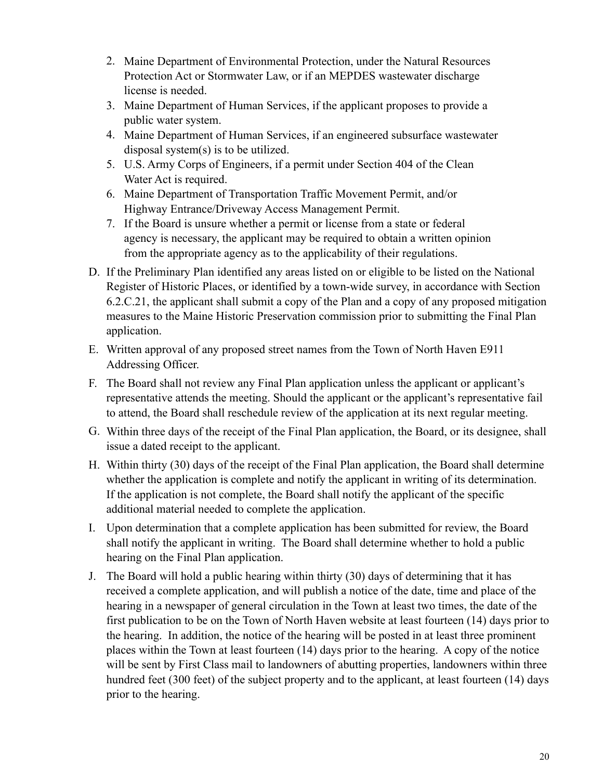- 2. Maine Department of Environmental Protection, under the Natural Resources Protection Act or Stormwater Law, or if an MEPDES wastewater discharge license is needed.
- 3. Maine Department of Human Services, if the applicant proposes to provide a public water system.
- 4. Maine Department of Human Services, if an engineered subsurface wastewater disposal system(s) is to be utilized.
- 5. U.S. Army Corps of Engineers, if a permit under Section 404 of the Clean Water Act is required.
- 6. Maine Department of Transportation Traffic Movement Permit, and/or Highway Entrance/Driveway Access Management Permit.
- 7. If the Board is unsure whether a permit or license from a state or federal agency is necessary, the applicant may be required to obtain a written opinion from the appropriate agency as to the applicability of their regulations.
- D. If the Preliminary Plan identified any areas listed on or eligible to be listed on the National Register of Historic Places, or identified by a town-wide survey, in accordance with Section 6.2.C.21, the applicant shall submit a copy of the Plan and a copy of any proposed mitigation measures to the Maine Historic Preservation commission prior to submitting the Final Plan application.
- E. Written approval of any proposed street names from the Town of North Haven E911 Addressing Officer.
- F. The Board shall not review any Final Plan application unless the applicant or applicant's representative attends the meeting. Should the applicant or the applicant's representative fail to attend, the Board shall reschedule review of the application at its next regular meeting.
- G. Within three days of the receipt of the Final Plan application, the Board, or its designee, shall issue a dated receipt to the applicant.
- H. Within thirty (30) days of the receipt of the Final Plan application, the Board shall determine whether the application is complete and notify the applicant in writing of its determination. If the application is not complete, the Board shall notify the applicant of the specific additional material needed to complete the application.
- I. Upon determination that a complete application has been submitted for review, the Board shall notify the applicant in writing. The Board shall determine whether to hold a public hearing on the Final Plan application.
- J. The Board will hold a public hearing within thirty (30) days of determining that it has received a complete application, and will publish a notice of the date, time and place of the hearing in a newspaper of general circulation in the Town at least two times, the date of the first publication to be on the Town of North Haven website at least fourteen (14) days prior to the hearing. In addition, the notice of the hearing will be posted in at least three prominent places within the Town at least fourteen (14) days prior to the hearing. A copy of the notice will be sent by First Class mail to landowners of abutting properties, landowners within three hundred feet (300 feet) of the subject property and to the applicant, at least fourteen (14) days prior to the hearing.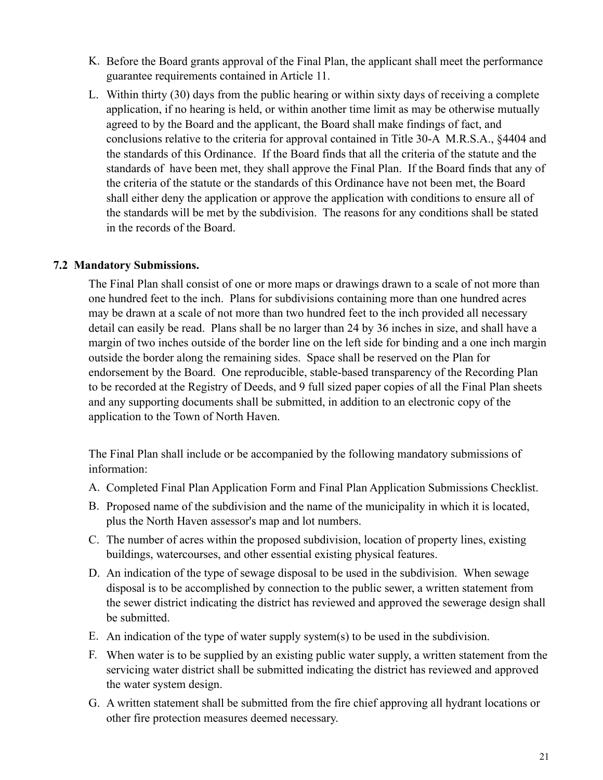- K. Before the Board grants approval of the Final Plan, the applicant shall meet the performance guarantee requirements contained in Article 11.
- L. Within thirty (30) days from the public hearing or within sixty days of receiving a complete application, if no hearing is held, or within another time limit as may be otherwise mutually agreed to by the Board and the applicant, the Board shall make findings of fact, and conclusions relative to the criteria for approval contained in Title 30-A M.R.S.A., §4404 and the standards of this Ordinance. If the Board finds that all the criteria of the statute and the standards of have been met, they shall approve the Final Plan. If the Board finds that any of the criteria of the statute or the standards of this Ordinance have not been met, the Board shall either deny the application or approve the application with conditions to ensure all of the standards will be met by the subdivision. The reasons for any conditions shall be stated in the records of the Board.

### **7.2 Mandatory Submissions.**

The Final Plan shall consist of one or more maps or drawings drawn to a scale of not more than one hundred feet to the inch. Plans for subdivisions containing more than one hundred acres may be drawn at a scale of not more than two hundred feet to the inch provided all necessary detail can easily be read. Plans shall be no larger than 24 by 36 inches in size, and shall have a margin of two inches outside of the border line on the left side for binding and a one inch margin outside the border along the remaining sides. Space shall be reserved on the Plan for endorsement by the Board. One reproducible, stable-based transparency of the Recording Plan to be recorded at the Registry of Deeds, and 9 full sized paper copies of all the Final Plan sheets and any supporting documents shall be submitted, in addition to an electronic copy of the application to the Town of North Haven.

The Final Plan shall include or be accompanied by the following mandatory submissions of information:

- A. Completed Final Plan Application Form and Final Plan Application Submissions Checklist.
- B. Proposed name of the subdivision and the name of the municipality in which it is located, plus the North Haven assessor's map and lot numbers.
- C. The number of acres within the proposed subdivision, location of property lines, existing buildings, watercourses, and other essential existing physical features.
- D. An indication of the type of sewage disposal to be used in the subdivision. When sewage disposal is to be accomplished by connection to the public sewer, a written statement from the sewer district indicating the district has reviewed and approved the sewerage design shall be submitted.
- E. An indication of the type of water supply system(s) to be used in the subdivision.
- F. When water is to be supplied by an existing public water supply, a written statement from the servicing water district shall be submitted indicating the district has reviewed and approved the water system design.
- G. A written statement shall be submitted from the fire chief approving all hydrant locations or other fire protection measures deemed necessary.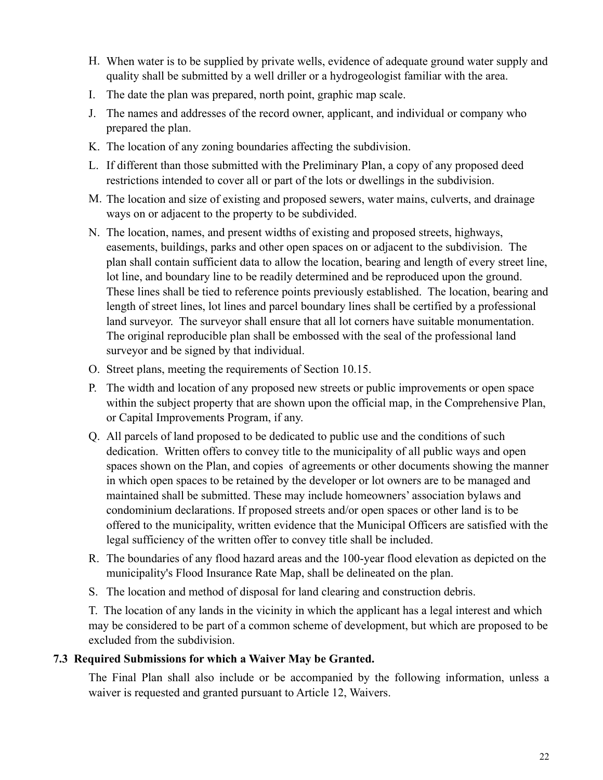- H. When water is to be supplied by private wells, evidence of adequate ground water supply and quality shall be submitted by a well driller or a hydrogeologist familiar with the area.
- I. The date the plan was prepared, north point, graphic map scale.
- J. The names and addresses of the record owner, applicant, and individual or company who prepared the plan.
- K. The location of any zoning boundaries affecting the subdivision.
- L. If different than those submitted with the Preliminary Plan, a copy of any proposed deed restrictions intended to cover all or part of the lots or dwellings in the subdivision.
- M. The location and size of existing and proposed sewers, water mains, culverts, and drainage ways on or adjacent to the property to be subdivided.
- N. The location, names, and present widths of existing and proposed streets, highways, easements, buildings, parks and other open spaces on or adjacent to the subdivision. The plan shall contain sufficient data to allow the location, bearing and length of every street line, lot line, and boundary line to be readily determined and be reproduced upon the ground. These lines shall be tied to reference points previously established. The location, bearing and length of street lines, lot lines and parcel boundary lines shall be certified by a professional land surveyor. The surveyor shall ensure that all lot corners have suitable monumentation. The original reproducible plan shall be embossed with the seal of the professional land surveyor and be signed by that individual.
- O. Street plans, meeting the requirements of Section 10.15.
- P. The width and location of any proposed new streets or public improvements or open space within the subject property that are shown upon the official map, in the Comprehensive Plan, or Capital Improvements Program, if any.
- Q. All parcels of land proposed to be dedicated to public use and the conditions of such dedication. Written offers to convey title to the municipality of all public ways and open spaces shown on the Plan, and copies of agreements or other documents showing the manner in which open spaces to be retained by the developer or lot owners are to be managed and maintained shall be submitted. These may include homeowners' association bylaws and condominium declarations. If proposed streets and/or open spaces or other land is to be offered to the municipality, written evidence that the Municipal Officers are satisfied with the legal sufficiency of the written offer to convey title shall be included.
- R. The boundaries of any flood hazard areas and the 100-year flood elevation as depicted on the municipality's Flood Insurance Rate Map, shall be delineated on the plan.
- S. The location and method of disposal for land clearing and construction debris.

T. The location of any lands in the vicinity in which the applicant has a legal interest and which may be considered to be part of a common scheme of development, but which are proposed to be excluded from the subdivision.

# **7.3 Required Submissions for which a Waiver May be Granted.**

The Final Plan shall also include or be accompanied by the following information, unless a waiver is requested and granted pursuant to Article 12, Waivers.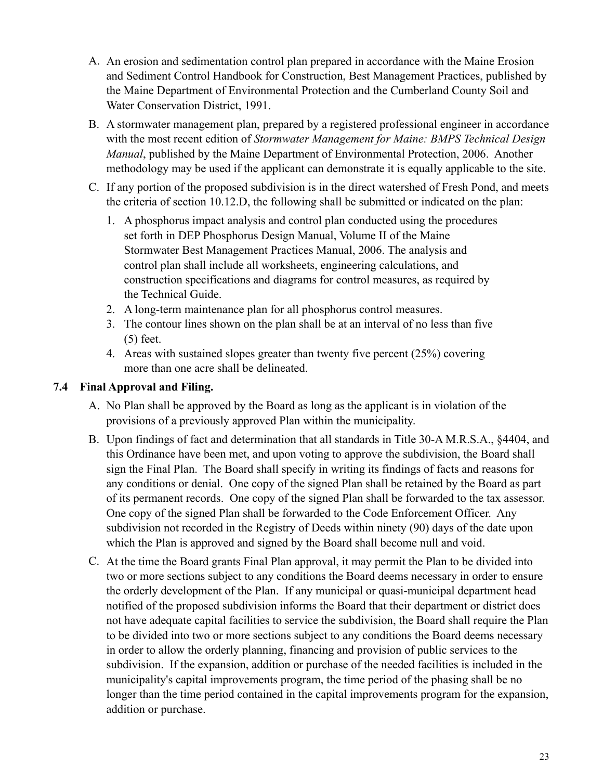- A. An erosion and sedimentation control plan prepared in accordance with the Maine Erosion and Sediment Control Handbook for Construction, Best Management Practices, published by the Maine Department of Environmental Protection and the Cumberland County Soil and Water Conservation District, 1991.
- B. A stormwater management plan, prepared by a registered professional engineer in accordance with the most recent edition of *Stormwater Management for Maine: BMPS Technical Design Manual*, published by the Maine Department of Environmental Protection, 2006. Another methodology may be used if the applicant can demonstrate it is equally applicable to the site.
- C. If any portion of the proposed subdivision is in the direct watershed of Fresh Pond, and meets the criteria of section 10.12.D, the following shall be submitted or indicated on the plan:
	- 1. A phosphorus impact analysis and control plan conducted using the procedures set forth in DEP Phosphorus Design Manual, Volume II of the Maine Stormwater Best Management Practices Manual, 2006. The analysis and control plan shall include all worksheets, engineering calculations, and construction specifications and diagrams for control measures, as required by the Technical Guide.
	- 2. A long-term maintenance plan for all phosphorus control measures.
	- 3. The contour lines shown on the plan shall be at an interval of no less than five (5) feet.
	- 4. Areas with sustained slopes greater than twenty five percent (25%) covering more than one acre shall be delineated.

# **7.4 Final Approval and Filing.**

- A. No Plan shall be approved by the Board as long as the applicant is in violation of the provisions of a previously approved Plan within the municipality.
- B. Upon findings of fact and determination that all standards in Title 30-A M.R.S.A., §4404, and this Ordinance have been met, and upon voting to approve the subdivision, the Board shall sign the Final Plan. The Board shall specify in writing its findings of facts and reasons for any conditions or denial. One copy of the signed Plan shall be retained by the Board as part of its permanent records. One copy of the signed Plan shall be forwarded to the tax assessor. One copy of the signed Plan shall be forwarded to the Code Enforcement Officer. Any subdivision not recorded in the Registry of Deeds within ninety (90) days of the date upon which the Plan is approved and signed by the Board shall become null and void.
- C. At the time the Board grants Final Plan approval, it may permit the Plan to be divided into two or more sections subject to any conditions the Board deems necessary in order to ensure the orderly development of the Plan. If any municipal or quasi-municipal department head notified of the proposed subdivision informs the Board that their department or district does not have adequate capital facilities to service the subdivision, the Board shall require the Plan to be divided into two or more sections subject to any conditions the Board deems necessary in order to allow the orderly planning, financing and provision of public services to the subdivision. If the expansion, addition or purchase of the needed facilities is included in the municipality's capital improvements program, the time period of the phasing shall be no longer than the time period contained in the capital improvements program for the expansion, addition or purchase.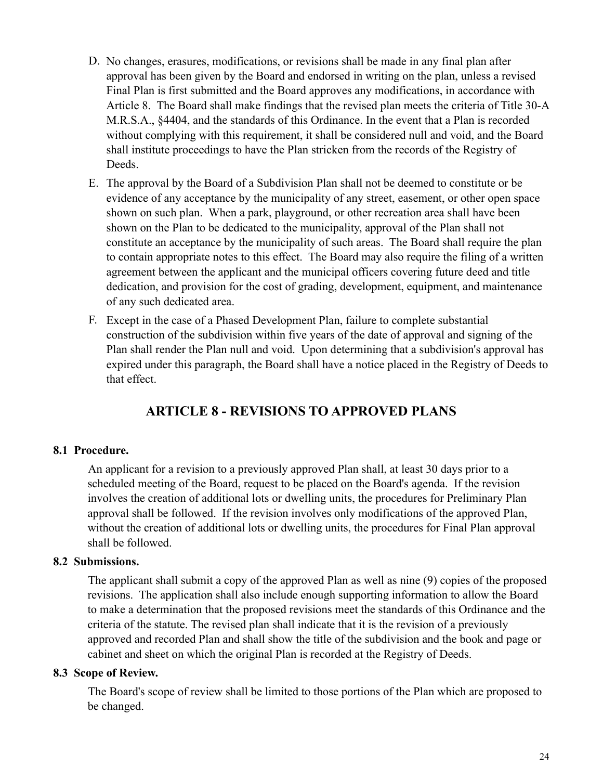- D. No changes, erasures, modifications, or revisions shall be made in any final plan after approval has been given by the Board and endorsed in writing on the plan, unless a revised Final Plan is first submitted and the Board approves any modifications, in accordance with Article 8. The Board shall make findings that the revised plan meets the criteria of Title 30-A M.R.S.A., §4404, and the standards of this Ordinance. In the event that a Plan is recorded without complying with this requirement, it shall be considered null and void, and the Board shall institute proceedings to have the Plan stricken from the records of the Registry of **Deeds**.
- E. The approval by the Board of a Subdivision Plan shall not be deemed to constitute or be evidence of any acceptance by the municipality of any street, easement, or other open space shown on such plan. When a park, playground, or other recreation area shall have been shown on the Plan to be dedicated to the municipality, approval of the Plan shall not constitute an acceptance by the municipality of such areas. The Board shall require the plan to contain appropriate notes to this effect. The Board may also require the filing of a written agreement between the applicant and the municipal officers covering future deed and title dedication, and provision for the cost of grading, development, equipment, and maintenance of any such dedicated area.
- F. Except in the case of a Phased Development Plan, failure to complete substantial construction of the subdivision within five years of the date of approval and signing of the Plan shall render the Plan null and void. Upon determining that a subdivision's approval has expired under this paragraph, the Board shall have a notice placed in the Registry of Deeds to that effect.

# **ARTICLE 8 - REVISIONS TO APPROVED PLANS**

### **8.1 Procedure.**

 An applicant for a revision to a previously approved Plan shall, at least 30 days prior to a scheduled meeting of the Board, request to be placed on the Board's agenda. If the revision involves the creation of additional lots or dwelling units, the procedures for Preliminary Plan approval shall be followed. If the revision involves only modifications of the approved Plan, without the creation of additional lots or dwelling units, the procedures for Final Plan approval shall be followed.

### **8.2 Submissions.**

 The applicant shall submit a copy of the approved Plan as well as nine (9) copies of the proposed revisions. The application shall also include enough supporting information to allow the Board to make a determination that the proposed revisions meet the standards of this Ordinance and the criteria of the statute. The revised plan shall indicate that it is the revision of a previously approved and recorded Plan and shall show the title of the subdivision and the book and page or cabinet and sheet on which the original Plan is recorded at the Registry of Deeds.

#### **8.3 Scope of Review.**

 The Board's scope of review shall be limited to those portions of the Plan which are proposed to be changed.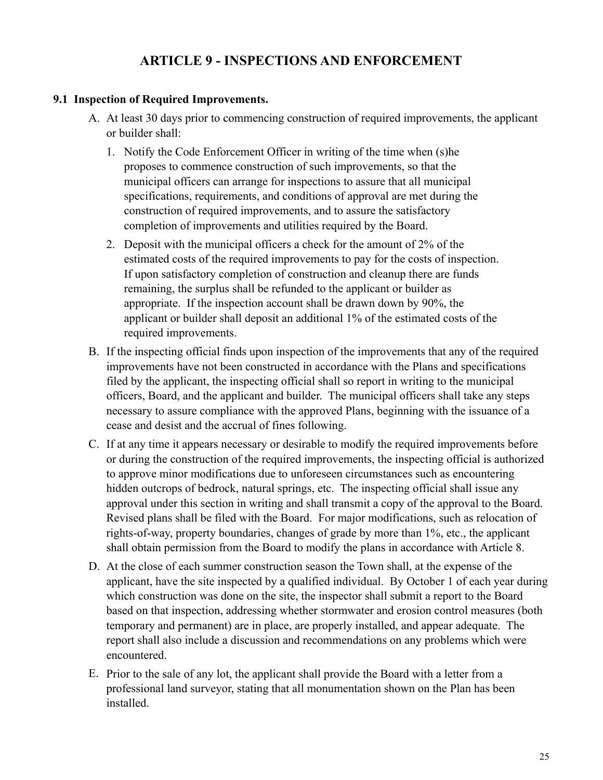# **ARTICLE 9 - INSPECTIONS AND ENFORCEMENT**

## **9.1 Inspection of Required Improvements.**

- A. At least 30 days prior to commencing construction of required improvements, the applicant or builder shall:
	- 1. Notify the Code Enforcement Officer in writing of the time when (s)he proposes to commence construction of such improvements, so that the municipal officers can arrange for inspections to assure that all municipal specifications, requirements, and conditions of approval are met during the construction of required improvements, and to assure the satisfactory completion of improvements and utilities required by the Board.
	- 2. Deposit with the municipal officers a check for the amount of 2% of the estimated costs of the required improvements to pay for the costs of inspection. If upon satisfactory completion of construction and cleanup there are funds remaining, the surplus shall be refunded to the applicant or builder as appropriate. If the inspection account shall be drawn down by 90%, the applicant or builder shall deposit an additional 1% of the estimated costs of the required improvements.
- B. If the inspecting official finds upon inspection of the improvements that any of the required improvements have not been constructed in accordance with the Plans and specifications filed by the applicant, the inspecting official shall so report in writing to the municipal officers, Board, and the applicant and builder. The municipal officers shall take any steps necessary to assure compliance with the approved Plans, beginning with the issuance of a cease and desist and the accrual of fines following.
- C. If at any time it appears necessary or desirable to modify the required improvements before or during the construction of the required improvements, the inspecting official is authorized to approve minor modifications due to unforeseen circumstances such as encountering hidden outcrops of bedrock, natural springs, etc. The inspecting official shall issue any approval under this section in writing and shall transmit a copy of the approval to the Board. Revised plans shall be filed with the Board. For major modifications, such as relocation of rights-of-way, property boundaries, changes of grade by more than 1%, etc., the applicant shall obtain permission from the Board to modify the plans in accordance with Article 8.
- D. At the close of each summer construction season the Town shall, at the expense of the applicant, have the site inspected by a qualified individual. By October 1 of each year during which construction was done on the site, the inspector shall submit a report to the Board based on that inspection, addressing whether stormwater and erosion control measures (both temporary and permanent) are in place, are properly installed, and appear adequate. The report shall also include a discussion and recommendations on any problems which were encountered.
- E. Prior to the sale of any lot, the applicant shall provide the Board with a letter from a professional land surveyor, stating that all monumentation shown on the Plan has been installed.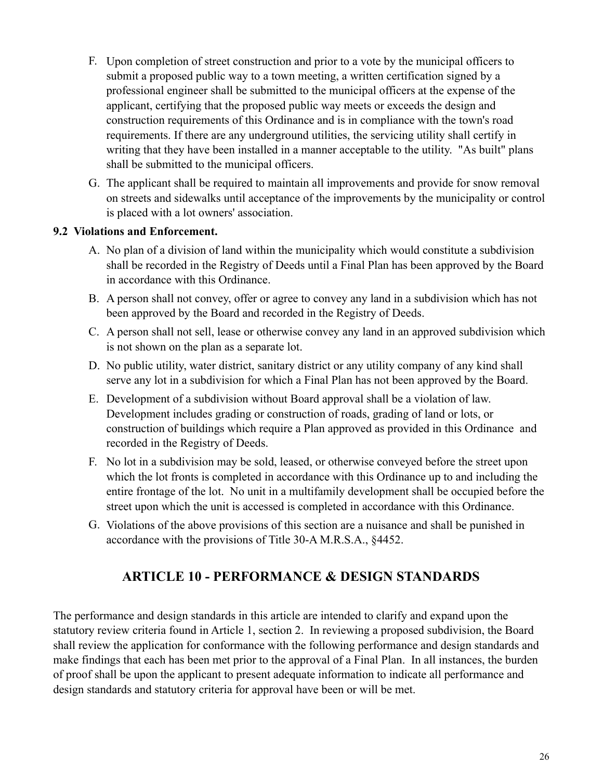- F. Upon completion of street construction and prior to a vote by the municipal officers to submit a proposed public way to a town meeting, a written certification signed by a professional engineer shall be submitted to the municipal officers at the expense of the applicant, certifying that the proposed public way meets or exceeds the design and construction requirements of this Ordinance and is in compliance with the town's road requirements. If there are any underground utilities, the servicing utility shall certify in writing that they have been installed in a manner acceptable to the utility. "As built" plans shall be submitted to the municipal officers.
- G. The applicant shall be required to maintain all improvements and provide for snow removal on streets and sidewalks until acceptance of the improvements by the municipality or control is placed with a lot owners' association.

# **9.2 Violations and Enforcement.**

- A. No plan of a division of land within the municipality which would constitute a subdivision shall be recorded in the Registry of Deeds until a Final Plan has been approved by the Board in accordance with this Ordinance.
- B. A person shall not convey, offer or agree to convey any land in a subdivision which has not been approved by the Board and recorded in the Registry of Deeds.
- C. A person shall not sell, lease or otherwise convey any land in an approved subdivision which is not shown on the plan as a separate lot.
- D. No public utility, water district, sanitary district or any utility company of any kind shall serve any lot in a subdivision for which a Final Plan has not been approved by the Board.
- E. Development of a subdivision without Board approval shall be a violation of law. Development includes grading or construction of roads, grading of land or lots, or construction of buildings which require a Plan approved as provided in this Ordinance and recorded in the Registry of Deeds.
- F. No lot in a subdivision may be sold, leased, or otherwise conveyed before the street upon which the lot fronts is completed in accordance with this Ordinance up to and including the entire frontage of the lot. No unit in a multifamily development shall be occupied before the street upon which the unit is accessed is completed in accordance with this Ordinance.
- G. Violations of the above provisions of this section are a nuisance and shall be punished in accordance with the provisions of Title 30-A M.R.S.A., §4452.

# **ARTICLE 10 - PERFORMANCE & DESIGN STANDARDS**

The performance and design standards in this article are intended to clarify and expand upon the statutory review criteria found in Article 1, section 2. In reviewing a proposed subdivision, the Board shall review the application for conformance with the following performance and design standards and make findings that each has been met prior to the approval of a Final Plan. In all instances, the burden of proof shall be upon the applicant to present adequate information to indicate all performance and design standards and statutory criteria for approval have been or will be met.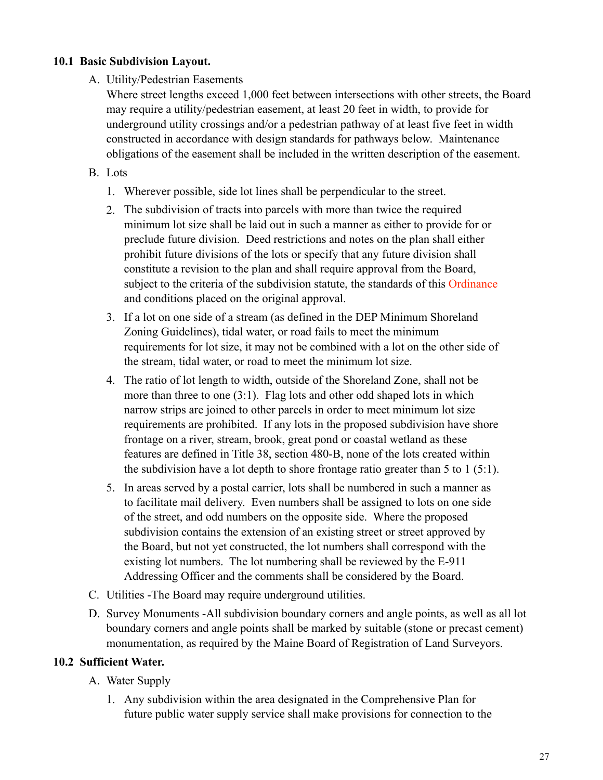# **10.1 Basic Subdivision Layout.**

A. Utility/Pedestrian Easements

Where street lengths exceed 1,000 feet between intersections with other streets, the Board may require a utility/pedestrian easement, at least 20 feet in width, to provide for underground utility crossings and/or a pedestrian pathway of at least five feet in width constructed in accordance with design standards for pathways below. Maintenance obligations of the easement shall be included in the written description of the easement.

- B. Lots
	- 1. Wherever possible, side lot lines shall be perpendicular to the street.
	- 2. The subdivision of tracts into parcels with more than twice the required minimum lot size shall be laid out in such a manner as either to provide for or preclude future division. Deed restrictions and notes on the plan shall either prohibit future divisions of the lots or specify that any future division shall constitute a revision to the plan and shall require approval from the Board, subject to the criteria of the subdivision statute, the standards of this Ordinance and conditions placed on the original approval.
	- 3. If a lot on one side of a stream (as defined in the DEP Minimum Shoreland Zoning Guidelines), tidal water, or road fails to meet the minimum requirements for lot size, it may not be combined with a lot on the other side of the stream, tidal water, or road to meet the minimum lot size.
	- 4. The ratio of lot length to width, outside of the Shoreland Zone, shall not be more than three to one (3:1). Flag lots and other odd shaped lots in which narrow strips are joined to other parcels in order to meet minimum lot size requirements are prohibited. If any lots in the proposed subdivision have shore frontage on a river, stream, brook, great pond or coastal wetland as these features are defined in Title 38, section 480-B, none of the lots created within the subdivision have a lot depth to shore frontage ratio greater than 5 to 1 (5:1).
	- 5. In areas served by a postal carrier, lots shall be numbered in such a manner as to facilitate mail delivery. Even numbers shall be assigned to lots on one side of the street, and odd numbers on the opposite side. Where the proposed subdivision contains the extension of an existing street or street approved by the Board, but not yet constructed, the lot numbers shall correspond with the existing lot numbers. The lot numbering shall be reviewed by the E-911 Addressing Officer and the comments shall be considered by the Board.
- C. Utilities -The Board may require underground utilities.
- D. Survey Monuments -All subdivision boundary corners and angle points, as well as all lot boundary corners and angle points shall be marked by suitable (stone or precast cement) monumentation, as required by the Maine Board of Registration of Land Surveyors.

# **10.2 Sufficient Water.**

- A. Water Supply
	- 1. Any subdivision within the area designated in the Comprehensive Plan for future public water supply service shall make provisions for connection to the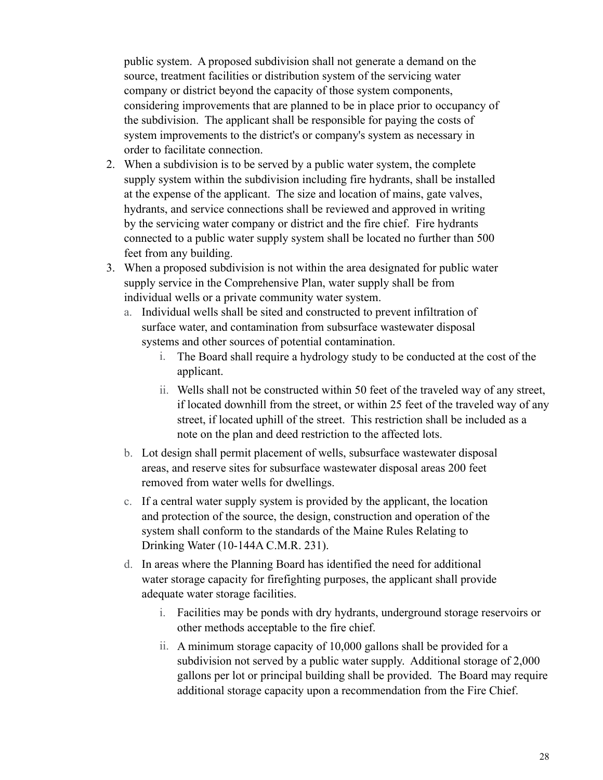public system. A proposed subdivision shall not generate a demand on the source, treatment facilities or distribution system of the servicing water company or district beyond the capacity of those system components, considering improvements that are planned to be in place prior to occupancy of the subdivision. The applicant shall be responsible for paying the costs of system improvements to the district's or company's system as necessary in order to facilitate connection.

- 2. When a subdivision is to be served by a public water system, the complete supply system within the subdivision including fire hydrants, shall be installed at the expense of the applicant. The size and location of mains, gate valves, hydrants, and service connections shall be reviewed and approved in writing by the servicing water company or district and the fire chief. Fire hydrants connected to a public water supply system shall be located no further than 500 feet from any building.
- 3. When a proposed subdivision is not within the area designated for public water supply service in the Comprehensive Plan, water supply shall be from individual wells or a private community water system.
	- a. Individual wells shall be sited and constructed to prevent infiltration of surface water, and contamination from subsurface wastewater disposal systems and other sources of potential contamination.
		- i. The Board shall require a hydrology study to be conducted at the cost of the applicant.
		- ii. Wells shall not be constructed within 50 feet of the traveled way of any street, if located downhill from the street, or within 25 feet of the traveled way of any street, if located uphill of the street. This restriction shall be included as a note on the plan and deed restriction to the affected lots.
	- b. Lot design shall permit placement of wells, subsurface wastewater disposal areas, and reserve sites for subsurface wastewater disposal areas 200 feet removed from water wells for dwellings.
	- c. If a central water supply system is provided by the applicant, the location and protection of the source, the design, construction and operation of the system shall conform to the standards of the Maine Rules Relating to Drinking Water (10-144A C.M.R. 231).
	- d. In areas where the Planning Board has identified the need for additional water storage capacity for firefighting purposes, the applicant shall provide adequate water storage facilities.
		- i. Facilities may be ponds with dry hydrants, underground storage reservoirs or other methods acceptable to the fire chief.
		- ii. A minimum storage capacity of 10,000 gallons shall be provided for a subdivision not served by a public water supply. Additional storage of 2,000 gallons per lot or principal building shall be provided. The Board may require additional storage capacity upon a recommendation from the Fire Chief.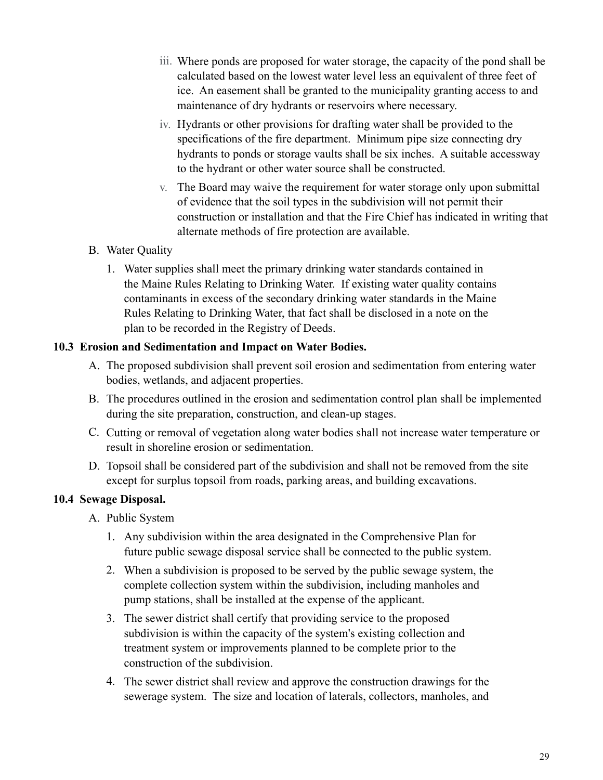- iii. Where ponds are proposed for water storage, the capacity of the pond shall be calculated based on the lowest water level less an equivalent of three feet of ice. An easement shall be granted to the municipality granting access to and maintenance of dry hydrants or reservoirs where necessary.
- iv. Hydrants or other provisions for drafting water shall be provided to the specifications of the fire department. Minimum pipe size connecting dry hydrants to ponds or storage vaults shall be six inches. A suitable accessway to the hydrant or other water source shall be constructed.
- v. The Board may waive the requirement for water storage only upon submittal of evidence that the soil types in the subdivision will not permit their construction or installation and that the Fire Chief has indicated in writing that alternate methods of fire protection are available.
- B. Water Quality
	- 1. Water supplies shall meet the primary drinking water standards contained in the Maine Rules Relating to Drinking Water. If existing water quality contains contaminants in excess of the secondary drinking water standards in the Maine Rules Relating to Drinking Water, that fact shall be disclosed in a note on the plan to be recorded in the Registry of Deeds.

# **10.3 Erosion and Sedimentation and Impact on Water Bodies.**

- A. The proposed subdivision shall prevent soil erosion and sedimentation from entering water bodies, wetlands, and adjacent properties.
- B. The procedures outlined in the erosion and sedimentation control plan shall be implemented during the site preparation, construction, and clean-up stages.
- C. Cutting or removal of vegetation along water bodies shall not increase water temperature or result in shoreline erosion or sedimentation.
- D. Topsoil shall be considered part of the subdivision and shall not be removed from the site except for surplus topsoil from roads, parking areas, and building excavations.

# **10.4 Sewage Disposal.**

- A. Public System
	- 1. Any subdivision within the area designated in the Comprehensive Plan for future public sewage disposal service shall be connected to the public system.
	- 2. When a subdivision is proposed to be served by the public sewage system, the complete collection system within the subdivision, including manholes and pump stations, shall be installed at the expense of the applicant.
	- 3. The sewer district shall certify that providing service to the proposed subdivision is within the capacity of the system's existing collection and treatment system or improvements planned to be complete prior to the construction of the subdivision.
	- 4. The sewer district shall review and approve the construction drawings for the sewerage system. The size and location of laterals, collectors, manholes, and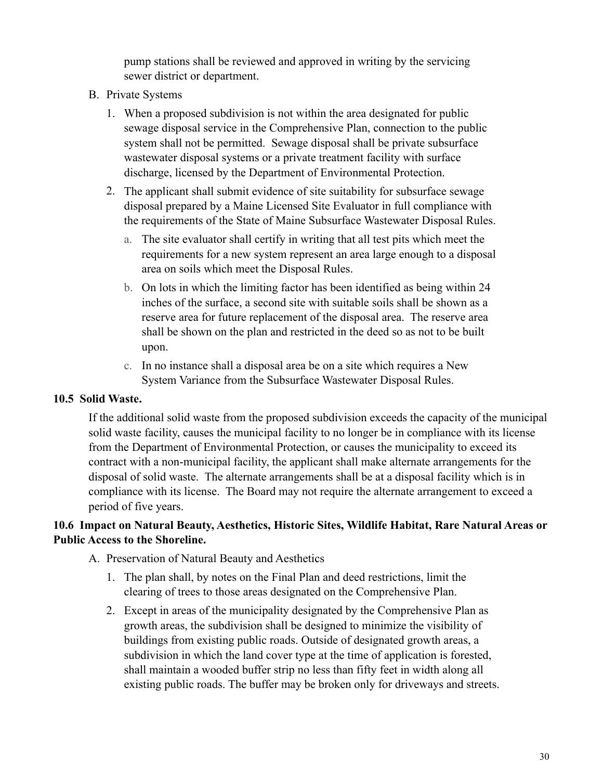pump stations shall be reviewed and approved in writing by the servicing sewer district or department.

- B. Private Systems
	- 1. When a proposed subdivision is not within the area designated for public sewage disposal service in the Comprehensive Plan, connection to the public system shall not be permitted. Sewage disposal shall be private subsurface wastewater disposal systems or a private treatment facility with surface discharge, licensed by the Department of Environmental Protection.
	- 2. The applicant shall submit evidence of site suitability for subsurface sewage disposal prepared by a Maine Licensed Site Evaluator in full compliance with the requirements of the State of Maine Subsurface Wastewater Disposal Rules.
		- a. The site evaluator shall certify in writing that all test pits which meet the requirements for a new system represent an area large enough to a disposal area on soils which meet the Disposal Rules.
		- b. On lots in which the limiting factor has been identified as being within 24 inches of the surface, a second site with suitable soils shall be shown as a reserve area for future replacement of the disposal area. The reserve area shall be shown on the plan and restricted in the deed so as not to be built upon.
		- c. In no instance shall a disposal area be on a site which requires a New System Variance from the Subsurface Wastewater Disposal Rules.

# **10.5 Solid Waste.**

If the additional solid waste from the proposed subdivision exceeds the capacity of the municipal solid waste facility, causes the municipal facility to no longer be in compliance with its license from the Department of Environmental Protection, or causes the municipality to exceed its contract with a non-municipal facility, the applicant shall make alternate arrangements for the disposal of solid waste. The alternate arrangements shall be at a disposal facility which is in compliance with its license. The Board may not require the alternate arrangement to exceed a period of five years.

# **10.6 Impact on Natural Beauty, Aesthetics, Historic Sites, Wildlife Habitat, Rare Natural Areas or Public Access to the Shoreline.**

- A. Preservation of Natural Beauty and Aesthetics
	- 1. The plan shall, by notes on the Final Plan and deed restrictions, limit the clearing of trees to those areas designated on the Comprehensive Plan.
	- 2. Except in areas of the municipality designated by the Comprehensive Plan as growth areas, the subdivision shall be designed to minimize the visibility of buildings from existing public roads. Outside of designated growth areas, a subdivision in which the land cover type at the time of application is forested, shall maintain a wooded buffer strip no less than fifty feet in width along all existing public roads. The buffer may be broken only for driveways and streets.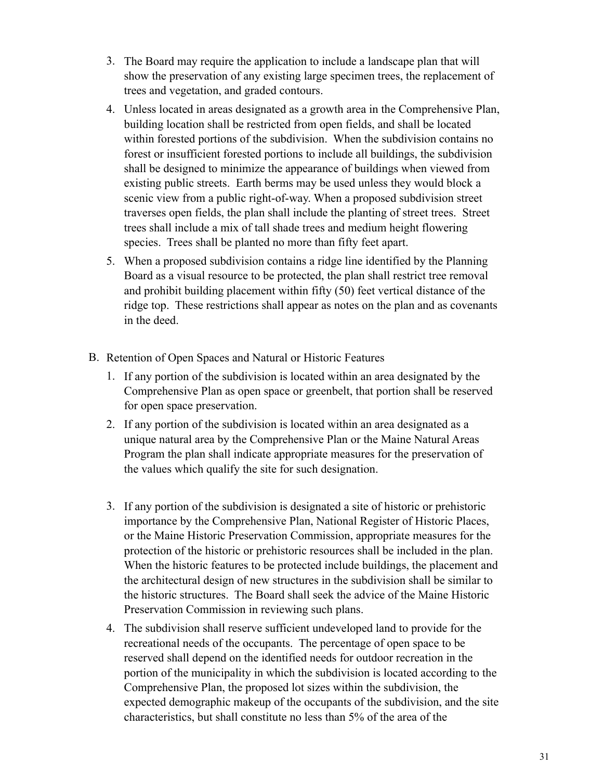- 3. The Board may require the application to include a landscape plan that will show the preservation of any existing large specimen trees, the replacement of trees and vegetation, and graded contours.
- 4. Unless located in areas designated as a growth area in the Comprehensive Plan, building location shall be restricted from open fields, and shall be located within forested portions of the subdivision. When the subdivision contains no forest or insufficient forested portions to include all buildings, the subdivision shall be designed to minimize the appearance of buildings when viewed from existing public streets. Earth berms may be used unless they would block a scenic view from a public right-of-way. When a proposed subdivision street traverses open fields, the plan shall include the planting of street trees. Street trees shall include a mix of tall shade trees and medium height flowering species. Trees shall be planted no more than fifty feet apart.
- 5. When a proposed subdivision contains a ridge line identified by the Planning Board as a visual resource to be protected, the plan shall restrict tree removal and prohibit building placement within fifty (50) feet vertical distance of the ridge top. These restrictions shall appear as notes on the plan and as covenants in the deed.
- B. Retention of Open Spaces and Natural or Historic Features
	- 1. If any portion of the subdivision is located within an area designated by the Comprehensive Plan as open space or greenbelt, that portion shall be reserved for open space preservation.
	- 2. If any portion of the subdivision is located within an area designated as a unique natural area by the Comprehensive Plan or the Maine Natural Areas Program the plan shall indicate appropriate measures for the preservation of the values which qualify the site for such designation.
	- 3. If any portion of the subdivision is designated a site of historic or prehistoric importance by the Comprehensive Plan, National Register of Historic Places, or the Maine Historic Preservation Commission, appropriate measures for the protection of the historic or prehistoric resources shall be included in the plan. When the historic features to be protected include buildings, the placement and the architectural design of new structures in the subdivision shall be similar to the historic structures. The Board shall seek the advice of the Maine Historic Preservation Commission in reviewing such plans.
	- 4. The subdivision shall reserve sufficient undeveloped land to provide for the recreational needs of the occupants. The percentage of open space to be reserved shall depend on the identified needs for outdoor recreation in the portion of the municipality in which the subdivision is located according to the Comprehensive Plan, the proposed lot sizes within the subdivision, the expected demographic makeup of the occupants of the subdivision, and the site characteristics, but shall constitute no less than 5% of the area of the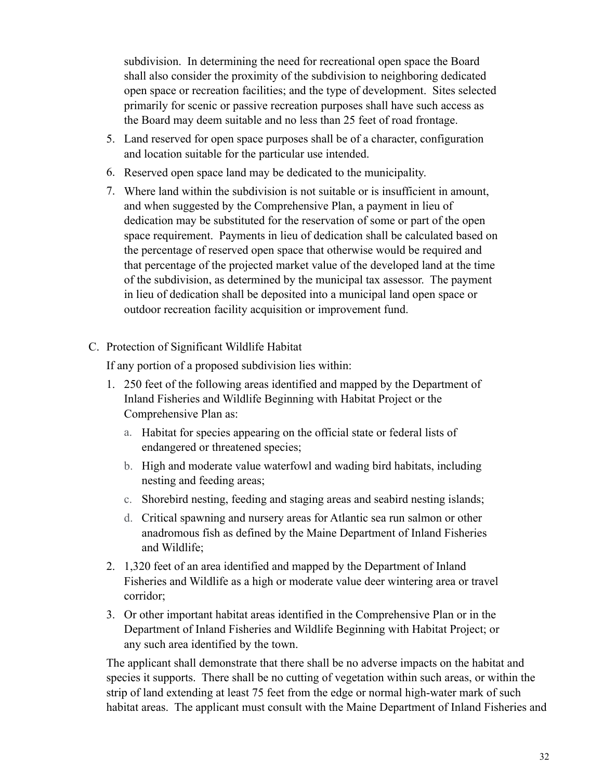subdivision. In determining the need for recreational open space the Board shall also consider the proximity of the subdivision to neighboring dedicated open space or recreation facilities; and the type of development. Sites selected primarily for scenic or passive recreation purposes shall have such access as the Board may deem suitable and no less than 25 feet of road frontage.

- 5. Land reserved for open space purposes shall be of a character, configuration and location suitable for the particular use intended.
- 6. Reserved open space land may be dedicated to the municipality.
- 7. Where land within the subdivision is not suitable or is insufficient in amount, and when suggested by the Comprehensive Plan, a payment in lieu of dedication may be substituted for the reservation of some or part of the open space requirement. Payments in lieu of dedication shall be calculated based on the percentage of reserved open space that otherwise would be required and that percentage of the projected market value of the developed land at the time of the subdivision, as determined by the municipal tax assessor. The payment in lieu of dedication shall be deposited into a municipal land open space or outdoor recreation facility acquisition or improvement fund.
- C. Protection of Significant Wildlife Habitat

If any portion of a proposed subdivision lies within:

- 1. 250 feet of the following areas identified and mapped by the Department of Inland Fisheries and Wildlife Beginning with Habitat Project or the Comprehensive Plan as:
	- a. Habitat for species appearing on the official state or federal lists of endangered or threatened species;
	- b. High and moderate value waterfowl and wading bird habitats, including nesting and feeding areas;
	- c. Shorebird nesting, feeding and staging areas and seabird nesting islands;
	- d. Critical spawning and nursery areas for Atlantic sea run salmon or other anadromous fish as defined by the Maine Department of Inland Fisheries and Wildlife;
- 2. 1,320 feet of an area identified and mapped by the Department of Inland Fisheries and Wildlife as a high or moderate value deer wintering area or travel corridor;
- 3. Or other important habitat areas identified in the Comprehensive Plan or in the Department of Inland Fisheries and Wildlife Beginning with Habitat Project; or any such area identified by the town.

The applicant shall demonstrate that there shall be no adverse impacts on the habitat and species it supports. There shall be no cutting of vegetation within such areas, or within the strip of land extending at least 75 feet from the edge or normal high-water mark of such habitat areas. The applicant must consult with the Maine Department of Inland Fisheries and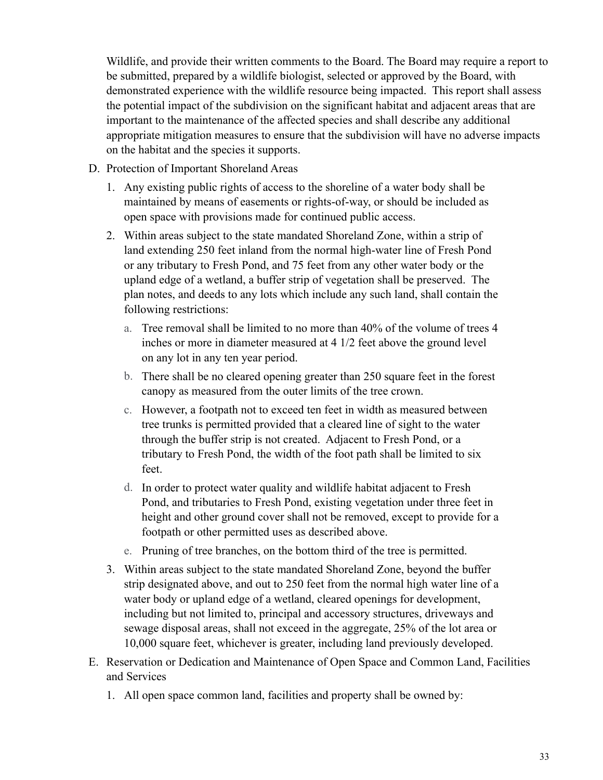Wildlife, and provide their written comments to the Board. The Board may require a report to be submitted, prepared by a wildlife biologist, selected or approved by the Board, with demonstrated experience with the wildlife resource being impacted. This report shall assess the potential impact of the subdivision on the significant habitat and adjacent areas that are important to the maintenance of the affected species and shall describe any additional appropriate mitigation measures to ensure that the subdivision will have no adverse impacts on the habitat and the species it supports.

- D. Protection of Important Shoreland Areas
	- 1. Any existing public rights of access to the shoreline of a water body shall be maintained by means of easements or rights-of-way, or should be included as open space with provisions made for continued public access.
	- 2. Within areas subject to the state mandated Shoreland Zone, within a strip of land extending 250 feet inland from the normal high-water line of Fresh Pond or any tributary to Fresh Pond, and 75 feet from any other water body or the upland edge of a wetland, a buffer strip of vegetation shall be preserved. The plan notes, and deeds to any lots which include any such land, shall contain the following restrictions:
		- a. Tree removal shall be limited to no more than 40% of the volume of trees 4 inches or more in diameter measured at 4 1/2 feet above the ground level on any lot in any ten year period.
		- b. There shall be no cleared opening greater than 250 square feet in the forest canopy as measured from the outer limits of the tree crown.
		- c. However, a footpath not to exceed ten feet in width as measured between tree trunks is permitted provided that a cleared line of sight to the water through the buffer strip is not created. Adjacent to Fresh Pond, or a tributary to Fresh Pond, the width of the foot path shall be limited to six feet.
		- d. In order to protect water quality and wildlife habitat adjacent to Fresh Pond, and tributaries to Fresh Pond, existing vegetation under three feet in height and other ground cover shall not be removed, except to provide for a footpath or other permitted uses as described above.
		- e. Pruning of tree branches, on the bottom third of the tree is permitted.
	- 3. Within areas subject to the state mandated Shoreland Zone, beyond the buffer strip designated above, and out to 250 feet from the normal high water line of a water body or upland edge of a wetland, cleared openings for development, including but not limited to, principal and accessory structures, driveways and sewage disposal areas, shall not exceed in the aggregate, 25% of the lot area or 10,000 square feet, whichever is greater, including land previously developed.
- E. Reservation or Dedication and Maintenance of Open Space and Common Land, Facilities and Services
	- 1. All open space common land, facilities and property shall be owned by: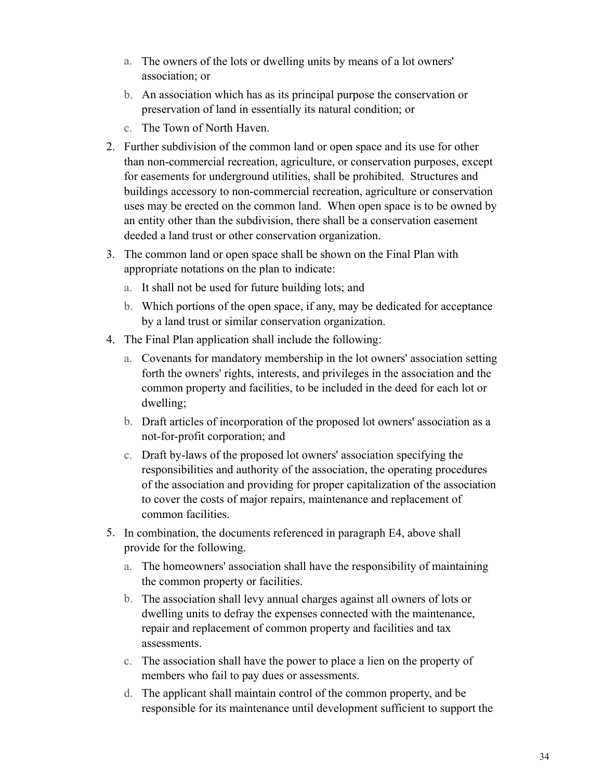- a. The owners of the lots or dwelling units by means of a lot owners' association; or
- b. An association which has as its principal purpose the conservation or preservation of land in essentially its natural condition; or
- c. The Town of North Haven.
- 2. Further subdivision of the common land or open space and its use for other than non-commercial recreation, agriculture, or conservation purposes, except for easements for underground utilities, shall be prohibited. Structures and buildings accessory to non-commercial recreation, agriculture or conservation uses may be erected on the common land. When open space is to be owned by an entity other than the subdivision, there shall be a conservation easement deeded a land trust or other conservation organization.
- 3. The common land or open space shall be shown on the Final Plan with appropriate notations on the plan to indicate:
	- a. It shall not be used for future building lots; and
	- b. Which portions of the open space, if any, may be dedicated for acceptance by a land trust or similar conservation organization.
- 4. The Final Plan application shall include the following:
	- a. Covenants for mandatory membership in the lot owners' association setting forth the owners' rights, interests, and privileges in the association and the common property and facilities, to be included in the deed for each lot or dwelling;
	- b. Draft articles of incorporation of the proposed lot owners' association as a not-for-profit corporation; and
	- c. Draft by-laws of the proposed lot owners' association specifying the responsibilities and authority of the association, the operating procedures of the association and providing for proper capitalization of the association to cover the costs of major repairs, maintenance and replacement of common facilities.
- 5. In combination, the documents referenced in paragraph E4, above shall provide for the following.
	- a. The homeowners' association shall have the responsibility of maintaining the common property or facilities.
	- b. The association shall levy annual charges against all owners of lots or dwelling units to defray the expenses connected with the maintenance, repair and replacement of common property and facilities and tax assessments.
	- c. The association shall have the power to place a lien on the property of members who fail to pay dues or assessments.
	- d. The applicant shall maintain control of the common property, and be responsible for its maintenance until development sufficient to support the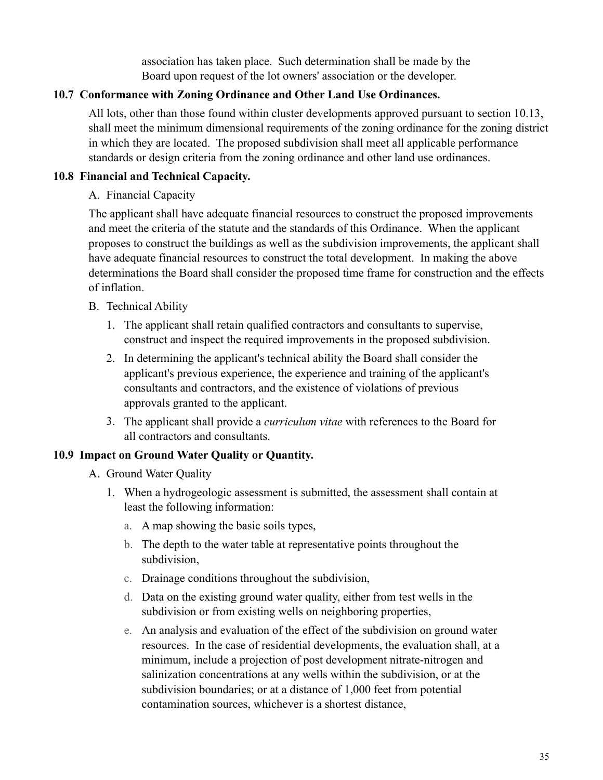association has taken place. Such determination shall be made by the Board upon request of the lot owners' association or the developer.

# **10.7 Conformance with Zoning Ordinance and Other Land Use Ordinances.**

All lots, other than those found within cluster developments approved pursuant to section 10.13, shall meet the minimum dimensional requirements of the zoning ordinance for the zoning district in which they are located. The proposed subdivision shall meet all applicable performance standards or design criteria from the zoning ordinance and other land use ordinances.

# **10.8 Financial and Technical Capacity.**

A. Financial Capacity

The applicant shall have adequate financial resources to construct the proposed improvements and meet the criteria of the statute and the standards of this Ordinance. When the applicant proposes to construct the buildings as well as the subdivision improvements, the applicant shall have adequate financial resources to construct the total development. In making the above determinations the Board shall consider the proposed time frame for construction and the effects of inflation.

# B. Technical Ability

- 1. The applicant shall retain qualified contractors and consultants to supervise, construct and inspect the required improvements in the proposed subdivision.
- 2. In determining the applicant's technical ability the Board shall consider the applicant's previous experience, the experience and training of the applicant's consultants and contractors, and the existence of violations of previous approvals granted to the applicant.
- 3. The applicant shall provide a *curriculum vitae* with references to the Board for all contractors and consultants.

# **10.9 Impact on Ground Water Quality or Quantity.**

- A. Ground Water Quality
	- 1. When a hydrogeologic assessment is submitted, the assessment shall contain at least the following information:
		- a. A map showing the basic soils types,
		- b. The depth to the water table at representative points throughout the subdivision,
		- c. Drainage conditions throughout the subdivision,
		- d. Data on the existing ground water quality, either from test wells in the subdivision or from existing wells on neighboring properties,
		- e. An analysis and evaluation of the effect of the subdivision on ground water resources. In the case of residential developments, the evaluation shall, at a minimum, include a projection of post development nitrate-nitrogen and salinization concentrations at any wells within the subdivision, or at the subdivision boundaries; or at a distance of 1,000 feet from potential contamination sources, whichever is a shortest distance,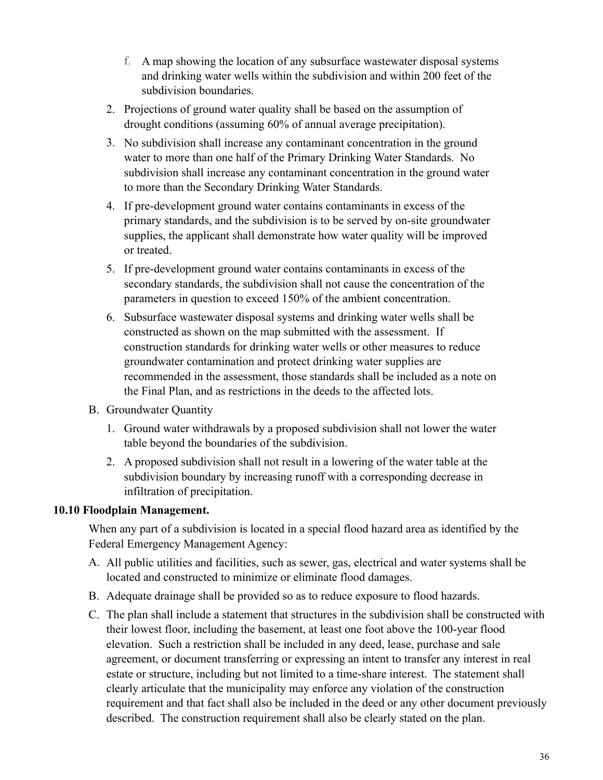- f. A map showing the location of any subsurface wastewater disposal systems and drinking water wells within the subdivision and within 200 feet of the subdivision boundaries.
- 2. Projections of ground water quality shall be based on the assumption of drought conditions (assuming 60% of annual average precipitation).
- 3. No subdivision shall increase any contaminant concentration in the ground water to more than one half of the Primary Drinking Water Standards. No subdivision shall increase any contaminant concentration in the ground water to more than the Secondary Drinking Water Standards.
- 4. If pre-development ground water contains contaminants in excess of the primary standards, and the subdivision is to be served by on-site groundwater supplies, the applicant shall demonstrate how water quality will be improved or treated.
- 5. If pre-development ground water contains contaminants in excess of the secondary standards, the subdivision shall not cause the concentration of the parameters in question to exceed 150% of the ambient concentration.
- 6. Subsurface wastewater disposal systems and drinking water wells shall be constructed as shown on the map submitted with the assessment. If construction standards for drinking water wells or other measures to reduce groundwater contamination and protect drinking water supplies are recommended in the assessment, those standards shall be included as a note on the Final Plan, and as restrictions in the deeds to the affected lots.
- B. Groundwater Quantity
	- 1. Ground water withdrawals by a proposed subdivision shall not lower the water table beyond the boundaries of the subdivision.
	- 2. A proposed subdivision shall not result in a lowering of the water table at the subdivision boundary by increasing runoff with a corresponding decrease in infiltration of precipitation.

# **10.10 Floodplain Management.**

When any part of a subdivision is located in a special flood hazard area as identified by the Federal Emergency Management Agency:

- A. All public utilities and facilities, such as sewer, gas, electrical and water systems shall be located and constructed to minimize or eliminate flood damages.
- B. Adequate drainage shall be provided so as to reduce exposure to flood hazards.
- C. The plan shall include a statement that structures in the subdivision shall be constructed with their lowest floor, including the basement, at least one foot above the 100-year flood elevation. Such a restriction shall be included in any deed, lease, purchase and sale agreement, or document transferring or expressing an intent to transfer any interest in real estate or structure, including but not limited to a time-share interest. The statement shall clearly articulate that the municipality may enforce any violation of the construction requirement and that fact shall also be included in the deed or any other document previously described. The construction requirement shall also be clearly stated on the plan.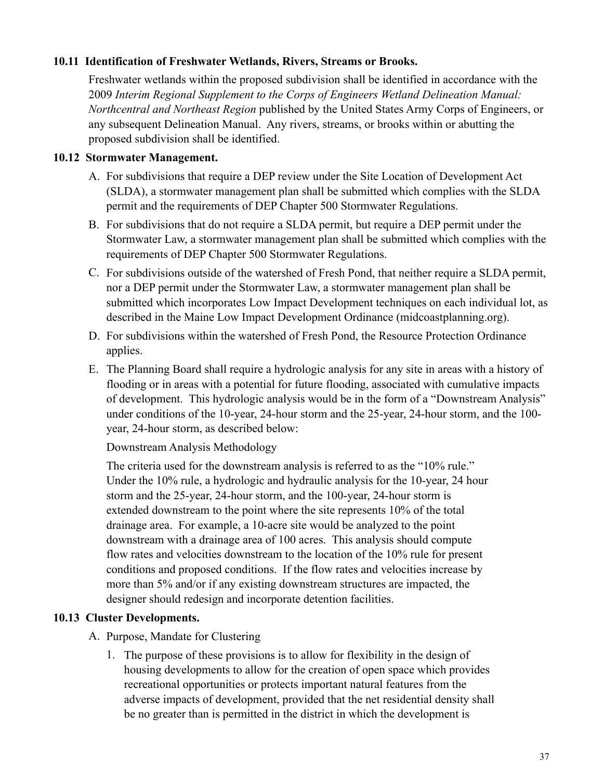# **10.11 Identification of Freshwater Wetlands, Rivers, Streams or Brooks.**

Freshwater wetlands within the proposed subdivision shall be identified in accordance with the 2009 *Interim Regional Supplement to the Corps of Engineers Wetland Delineation Manual: Northcentral and Northeast Region* published by the United States Army Corps of Engineers, or any subsequent Delineation Manual. Any rivers, streams, or brooks within or abutting the proposed subdivision shall be identified.

## **10.12 Stormwater Management.**

- A. For subdivisions that require a DEP review under the Site Location of Development Act (SLDA), a stormwater management plan shall be submitted which complies with the SLDA permit and the requirements of DEP Chapter 500 Stormwater Regulations.
- B. For subdivisions that do not require a SLDA permit, but require a DEP permit under the Stormwater Law, a stormwater management plan shall be submitted which complies with the requirements of DEP Chapter 500 Stormwater Regulations.
- C. For subdivisions outside of the watershed of Fresh Pond, that neither require a SLDA permit, nor a DEP permit under the Stormwater Law, a stormwater management plan shall be submitted which incorporates Low Impact Development techniques on each individual lot, as described in the Maine Low Impact Development Ordinance (midcoastplanning.org).
- D. For subdivisions within the watershed of Fresh Pond, the Resource Protection Ordinance applies.
- E. The Planning Board shall require a hydrologic analysis for any site in areas with a history of flooding or in areas with a potential for future flooding, associated with cumulative impacts of development. This hydrologic analysis would be in the form of a "Downstream Analysis" under conditions of the 10-year, 24-hour storm and the 25-year, 24-hour storm, and the 100 year, 24-hour storm, as described below:

Downstream Analysis Methodology

The criteria used for the downstream analysis is referred to as the "10% rule." Under the 10% rule, a hydrologic and hydraulic analysis for the 10-year, 24 hour storm and the 25-year, 24-hour storm, and the 100-year, 24-hour storm is extended downstream to the point where the site represents 10% of the total drainage area. For example, a 10-acre site would be analyzed to the point downstream with a drainage area of 100 acres. This analysis should compute flow rates and velocities downstream to the location of the 10% rule for present conditions and proposed conditions. If the flow rates and velocities increase by more than 5% and/or if any existing downstream structures are impacted, the designer should redesign and incorporate detention facilities.

### **10.13 Cluster Developments.**

- A. Purpose, Mandate for Clustering
	- 1. The purpose of these provisions is to allow for flexibility in the design of housing developments to allow for the creation of open space which provides recreational opportunities or protects important natural features from the adverse impacts of development, provided that the net residential density shall be no greater than is permitted in the district in which the development is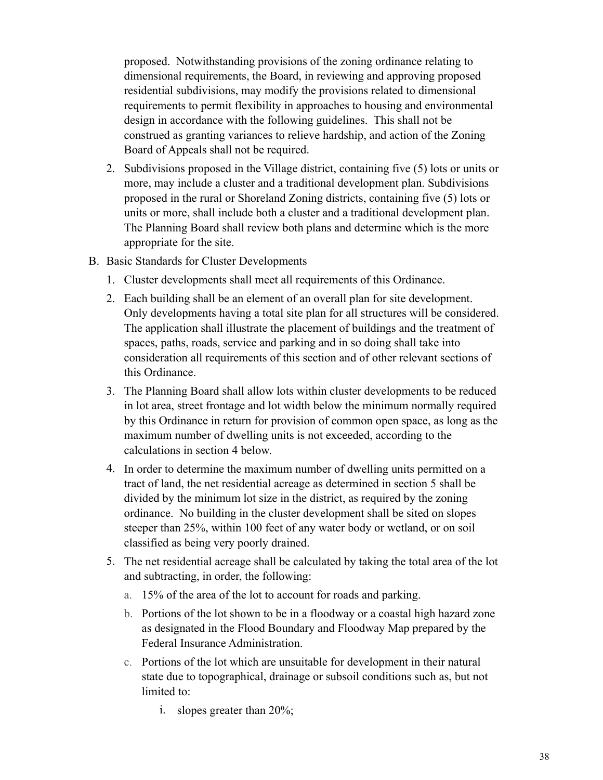proposed. Notwithstanding provisions of the zoning ordinance relating to dimensional requirements, the Board, in reviewing and approving proposed residential subdivisions, may modify the provisions related to dimensional requirements to permit flexibility in approaches to housing and environmental design in accordance with the following guidelines. This shall not be construed as granting variances to relieve hardship, and action of the Zoning Board of Appeals shall not be required.

- 2. Subdivisions proposed in the Village district, containing five (5) lots or units or more, may include a cluster and a traditional development plan. Subdivisions proposed in the rural or Shoreland Zoning districts, containing five (5) lots or units or more, shall include both a cluster and a traditional development plan. The Planning Board shall review both plans and determine which is the more appropriate for the site.
- B. Basic Standards for Cluster Developments
	- 1. Cluster developments shall meet all requirements of this Ordinance.
	- 2. Each building shall be an element of an overall plan for site development. Only developments having a total site plan for all structures will be considered. The application shall illustrate the placement of buildings and the treatment of spaces, paths, roads, service and parking and in so doing shall take into consideration all requirements of this section and of other relevant sections of this Ordinance.
	- 3. The Planning Board shall allow lots within cluster developments to be reduced in lot area, street frontage and lot width below the minimum normally required by this Ordinance in return for provision of common open space, as long as the maximum number of dwelling units is not exceeded, according to the calculations in section 4 below.
	- 4. In order to determine the maximum number of dwelling units permitted on a tract of land, the net residential acreage as determined in section 5 shall be divided by the minimum lot size in the district, as required by the zoning ordinance. No building in the cluster development shall be sited on slopes steeper than 25%, within 100 feet of any water body or wetland, or on soil classified as being very poorly drained.
	- 5. The net residential acreage shall be calculated by taking the total area of the lot and subtracting, in order, the following:
		- a. 15% of the area of the lot to account for roads and parking.
		- b. Portions of the lot shown to be in a floodway or a coastal high hazard zone as designated in the Flood Boundary and Floodway Map prepared by the Federal Insurance Administration.
		- c. Portions of the lot which are unsuitable for development in their natural state due to topographical, drainage or subsoil conditions such as, but not limited to:
			- i. slopes greater than 20%;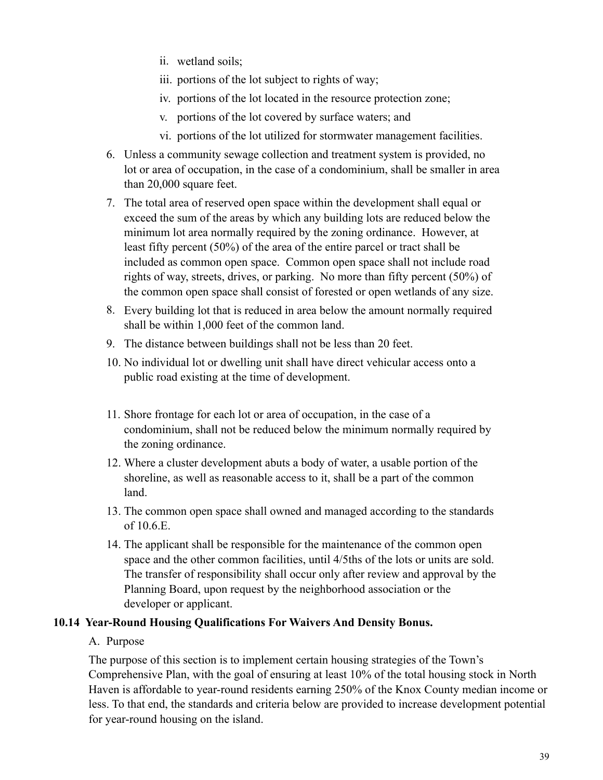- ii. wetland soils;
- iii. portions of the lot subject to rights of way;
- iv. portions of the lot located in the resource protection zone;
- v. portions of the lot covered by surface waters; and
- vi. portions of the lot utilized for stormwater management facilities.
- 6. Unless a community sewage collection and treatment system is provided, no lot or area of occupation, in the case of a condominium, shall be smaller in area than 20,000 square feet.
- 7. The total area of reserved open space within the development shall equal or exceed the sum of the areas by which any building lots are reduced below the minimum lot area normally required by the zoning ordinance. However, at least fifty percent (50%) of the area of the entire parcel or tract shall be included as common open space. Common open space shall not include road rights of way, streets, drives, or parking. No more than fifty percent (50%) of the common open space shall consist of forested or open wetlands of any size.
- 8. Every building lot that is reduced in area below the amount normally required shall be within 1,000 feet of the common land.
- 9. The distance between buildings shall not be less than 20 feet.
- 10. No individual lot or dwelling unit shall have direct vehicular access onto a public road existing at the time of development.
- 11. Shore frontage for each lot or area of occupation, in the case of a condominium, shall not be reduced below the minimum normally required by the zoning ordinance.
- 12. Where a cluster development abuts a body of water, a usable portion of the shoreline, as well as reasonable access to it, shall be a part of the common land.
- 13. The common open space shall owned and managed according to the standards of 10.6.E.
- 14. The applicant shall be responsible for the maintenance of the common open space and the other common facilities, until 4/5ths of the lots or units are sold. The transfer of responsibility shall occur only after review and approval by the Planning Board, upon request by the neighborhood association or the developer or applicant.

# **10.14 Year-Round Housing Qualifications For Waivers And Density Bonus.**

# A. Purpose

The purpose of this section is to implement certain housing strategies of the Town's Comprehensive Plan, with the goal of ensuring at least 10% of the total housing stock in North Haven is affordable to year-round residents earning 250% of the Knox County median income or less. To that end, the standards and criteria below are provided to increase development potential for year-round housing on the island.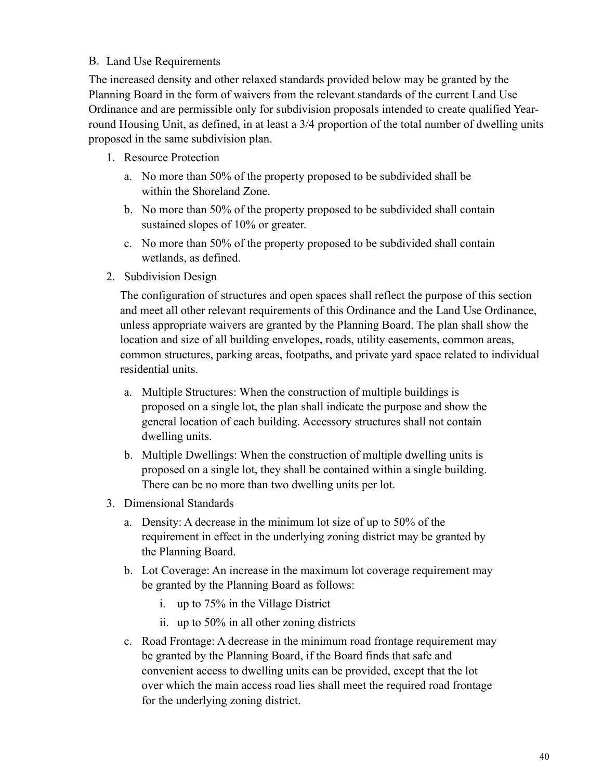## B. Land Use Requirements

 The increased density and other relaxed standards provided below may be granted by the Planning Board in the form of waivers from the relevant standards of the current Land Use Ordinance and are permissible only for subdivision proposals intended to create qualified Yearround Housing Unit, as defined, in at least a 3/4 proportion of the total number of dwelling units proposed in the same subdivision plan.

- 1. Resource Protection
	- a. No more than 50% of the property proposed to be subdivided shall be within the Shoreland Zone.
	- b. No more than 50% of the property proposed to be subdivided shall contain sustained slopes of 10% or greater.
	- c. No more than 50% of the property proposed to be subdivided shall contain wetlands, as defined.
- 2. Subdivision Design

The configuration of structures and open spaces shall reflect the purpose of this section and meet all other relevant requirements of this Ordinance and the Land Use Ordinance, unless appropriate waivers are granted by the Planning Board. The plan shall show the location and size of all building envelopes, roads, utility easements, common areas, common structures, parking areas, footpaths, and private yard space related to individual residential units.

- a. Multiple Structures: When the construction of multiple buildings is proposed on a single lot, the plan shall indicate the purpose and show the general location of each building. Accessory structures shall not contain dwelling units.
- b. Multiple Dwellings: When the construction of multiple dwelling units is proposed on a single lot, they shall be contained within a single building. There can be no more than two dwelling units per lot.
- 3. Dimensional Standards
	- a. Density: A decrease in the minimum lot size of up to 50% of the requirement in effect in the underlying zoning district may be granted by the Planning Board.
	- b. Lot Coverage: An increase in the maximum lot coverage requirement may be granted by the Planning Board as follows:
		- i. up to 75% in the Village District
		- ii. up to 50% in all other zoning districts
	- c. Road Frontage: A decrease in the minimum road frontage requirement may be granted by the Planning Board, if the Board finds that safe and convenient access to dwelling units can be provided, except that the lot over which the main access road lies shall meet the required road frontage for the underlying zoning district.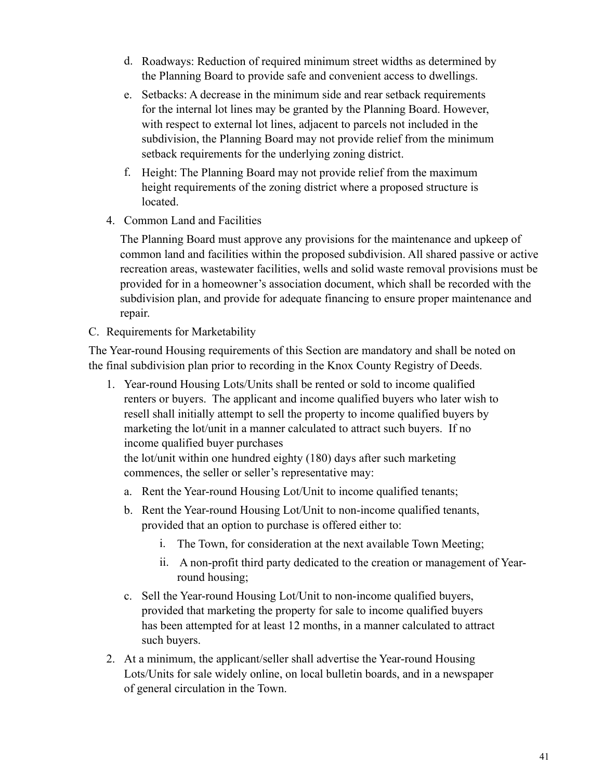- d. Roadways: Reduction of required minimum street widths as determined by the Planning Board to provide safe and convenient access to dwellings.
- e. Setbacks: A decrease in the minimum side and rear setback requirements for the internal lot lines may be granted by the Planning Board. However, with respect to external lot lines, adjacent to parcels not included in the subdivision, the Planning Board may not provide relief from the minimum setback requirements for the underlying zoning district.
- f. Height: The Planning Board may not provide relief from the maximum height requirements of the zoning district where a proposed structure is located.
- 4. Common Land and Facilities

The Planning Board must approve any provisions for the maintenance and upkeep of common land and facilities within the proposed subdivision. All shared passive or active recreation areas, wastewater facilities, wells and solid waste removal provisions must be provided for in a homeowner's association document, which shall be recorded with the subdivision plan, and provide for adequate financing to ensure proper maintenance and repair.

C. Requirements for Marketability

 The Year-round Housing requirements of this Section are mandatory and shall be noted on the final subdivision plan prior to recording in the Knox County Registry of Deeds.

1. Year-round Housing Lots/Units shall be rented or sold to income qualified renters or buyers. The applicant and income qualified buyers who later wish to resell shall initially attempt to sell the property to income qualified buyers by marketing the lot/unit in a manner calculated to attract such buyers. If no income qualified buyer purchases

the lot/unit within one hundred eighty (180) days after such marketing commences, the seller or seller's representative may:

- a. Rent the Year-round Housing Lot/Unit to income qualified tenants;
- b. Rent the Year-round Housing Lot/Unit to non-income qualified tenants, provided that an option to purchase is offered either to:
	- i. The Town, for consideration at the next available Town Meeting;
	- ii. A non-profit third party dedicated to the creation or management of Yearround housing;
- c. Sell the Year-round Housing Lot/Unit to non-income qualified buyers, provided that marketing the property for sale to income qualified buyers has been attempted for at least 12 months, in a manner calculated to attract such buyers.
- 2. At a minimum, the applicant/seller shall advertise the Year-round Housing Lots/Units for sale widely online, on local bulletin boards, and in a newspaper of general circulation in the Town.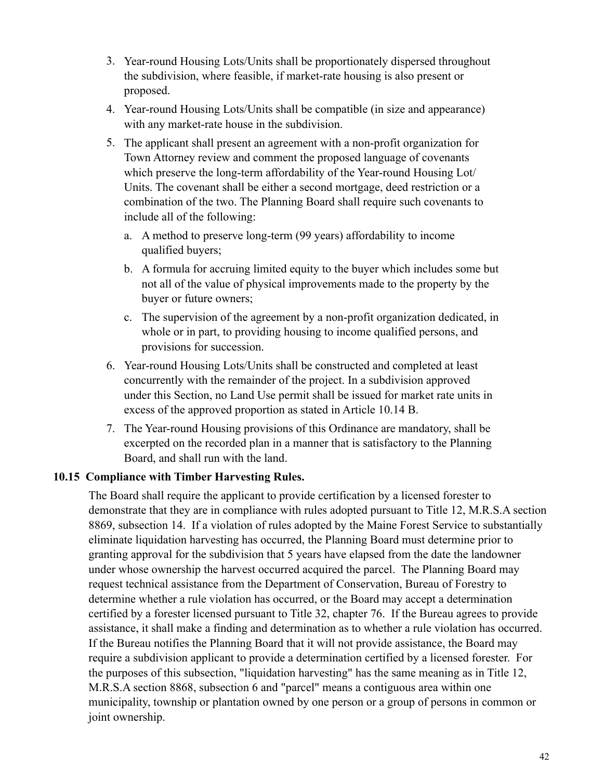- 3. Year-round Housing Lots/Units shall be proportionately dispersed throughout the subdivision, where feasible, if market-rate housing is also present or proposed.
- 4. Year-round Housing Lots/Units shall be compatible (in size and appearance) with any market-rate house in the subdivision.
- 5. The applicant shall present an agreement with a non-profit organization for Town Attorney review and comment the proposed language of covenants which preserve the long-term affordability of the Year-round Housing Lot/ Units. The covenant shall be either a second mortgage, deed restriction or a combination of the two. The Planning Board shall require such covenants to include all of the following:
	- a. A method to preserve long-term (99 years) affordability to income qualified buyers;
	- b. A formula for accruing limited equity to the buyer which includes some but not all of the value of physical improvements made to the property by the buyer or future owners;
	- c. The supervision of the agreement by a non-profit organization dedicated, in whole or in part, to providing housing to income qualified persons, and provisions for succession.
- 6. Year-round Housing Lots/Units shall be constructed and completed at least concurrently with the remainder of the project. In a subdivision approved under this Section, no Land Use permit shall be issued for market rate units in excess of the approved proportion as stated in Article 10.14 B.
- 7. The Year-round Housing provisions of this Ordinance are mandatory, shall be excerpted on the recorded plan in a manner that is satisfactory to the Planning Board, and shall run with the land.

# **10.15 Compliance with Timber Harvesting Rules.**

The Board shall require the applicant to provide certification by a licensed forester to demonstrate that they are in compliance with rules adopted pursuant to Title 12, M.R.S.A section 8869, subsection 14. If a violation of rules adopted by the Maine Forest Service to substantially eliminate liquidation harvesting has occurred, the Planning Board must determine prior to granting approval for the subdivision that 5 years have elapsed from the date the landowner under whose ownership the harvest occurred acquired the parcel. The Planning Board may request technical assistance from the Department of Conservation, Bureau of Forestry to determine whether a rule violation has occurred, or the Board may accept a determination certified by a forester licensed pursuant to Title 32, chapter 76. If the Bureau agrees to provide assistance, it shall make a finding and determination as to whether a rule violation has occurred. If the Bureau notifies the Planning Board that it will not provide assistance, the Board may require a subdivision applicant to provide a determination certified by a licensed forester. For the purposes of this subsection, "liquidation harvesting" has the same meaning as in Title 12, M.R.S.A section 8868, subsection 6 and "parcel" means a contiguous area within one municipality, township or plantation owned by one person or a group of persons in common or joint ownership.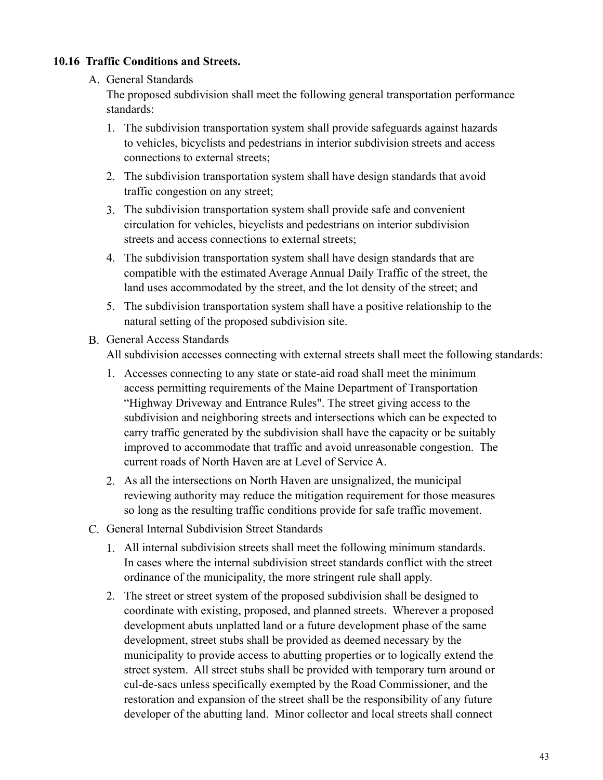## **10.16 Traffic Conditions and Streets.**

### A. General Standards

The proposed subdivision shall meet the following general transportation performance standards:

- 1. The subdivision transportation system shall provide safeguards against hazards to vehicles, bicyclists and pedestrians in interior subdivision streets and access connections to external streets;
- 2. The subdivision transportation system shall have design standards that avoid traffic congestion on any street;
- 3. The subdivision transportation system shall provide safe and convenient circulation for vehicles, bicyclists and pedestrians on interior subdivision streets and access connections to external streets;
- 4. The subdivision transportation system shall have design standards that are compatible with the estimated Average Annual Daily Traffic of the street, the land uses accommodated by the street, and the lot density of the street; and
- 5. The subdivision transportation system shall have a positive relationship to the natural setting of the proposed subdivision site.

### B. General Access Standards

All subdivision accesses connecting with external streets shall meet the following standards:

- 1. Accesses connecting to any state or state-aid road shall meet the minimum access permitting requirements of the Maine Department of Transportation "Highway Driveway and Entrance Rules". The street giving access to the subdivision and neighboring streets and intersections which can be expected to carry traffic generated by the subdivision shall have the capacity or be suitably improved to accommodate that traffic and avoid unreasonable congestion. The current roads of North Haven are at Level of Service A.
- 2. As all the intersections on North Haven are unsignalized, the municipal reviewing authority may reduce the mitigation requirement for those measures so long as the resulting traffic conditions provide for safe traffic movement.
- C. General Internal Subdivision Street Standards
	- 1. All internal subdivision streets shall meet the following minimum standards. In cases where the internal subdivision street standards conflict with the street ordinance of the municipality, the more stringent rule shall apply.
	- 2. The street or street system of the proposed subdivision shall be designed to coordinate with existing, proposed, and planned streets. Wherever a proposed development abuts unplatted land or a future development phase of the same development, street stubs shall be provided as deemed necessary by the municipality to provide access to abutting properties or to logically extend the street system. All street stubs shall be provided with temporary turn around or cul-de-sacs unless specifically exempted by the Road Commissioner, and the restoration and expansion of the street shall be the responsibility of any future developer of the abutting land. Minor collector and local streets shall connect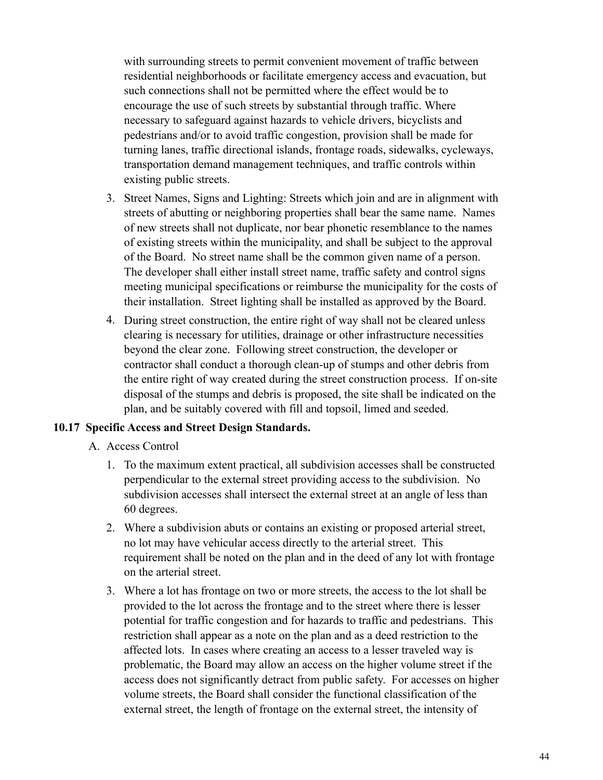with surrounding streets to permit convenient movement of traffic between residential neighborhoods or facilitate emergency access and evacuation, but such connections shall not be permitted where the effect would be to encourage the use of such streets by substantial through traffic. Where necessary to safeguard against hazards to vehicle drivers, bicyclists and pedestrians and/or to avoid traffic congestion, provision shall be made for turning lanes, traffic directional islands, frontage roads, sidewalks, cycleways, transportation demand management techniques, and traffic controls within existing public streets.

- 3. Street Names, Signs and Lighting: Streets which join and are in alignment with streets of abutting or neighboring properties shall bear the same name. Names of new streets shall not duplicate, nor bear phonetic resemblance to the names of existing streets within the municipality, and shall be subject to the approval of the Board. No street name shall be the common given name of a person. The developer shall either install street name, traffic safety and control signs meeting municipal specifications or reimburse the municipality for the costs of their installation. Street lighting shall be installed as approved by the Board.
- 4. During street construction, the entire right of way shall not be cleared unless clearing is necessary for utilities, drainage or other infrastructure necessities beyond the clear zone. Following street construction, the developer or contractor shall conduct a thorough clean-up of stumps and other debris from the entire right of way created during the street construction process. If on-site disposal of the stumps and debris is proposed, the site shall be indicated on the plan, and be suitably covered with fill and topsoil, limed and seeded.

### **10.17 Specific Access and Street Design Standards.**

- A. Access Control
	- 1. To the maximum extent practical, all subdivision accesses shall be constructed perpendicular to the external street providing access to the subdivision. No subdivision accesses shall intersect the external street at an angle of less than 60 degrees.
	- 2. Where a subdivision abuts or contains an existing or proposed arterial street, no lot may have vehicular access directly to the arterial street. This requirement shall be noted on the plan and in the deed of any lot with frontage on the arterial street.
	- 3. Where a lot has frontage on two or more streets, the access to the lot shall be provided to the lot across the frontage and to the street where there is lesser potential for traffic congestion and for hazards to traffic and pedestrians. This restriction shall appear as a note on the plan and as a deed restriction to the affected lots. In cases where creating an access to a lesser traveled way is problematic, the Board may allow an access on the higher volume street if the access does not significantly detract from public safety. For accesses on higher volume streets, the Board shall consider the functional classification of the external street, the length of frontage on the external street, the intensity of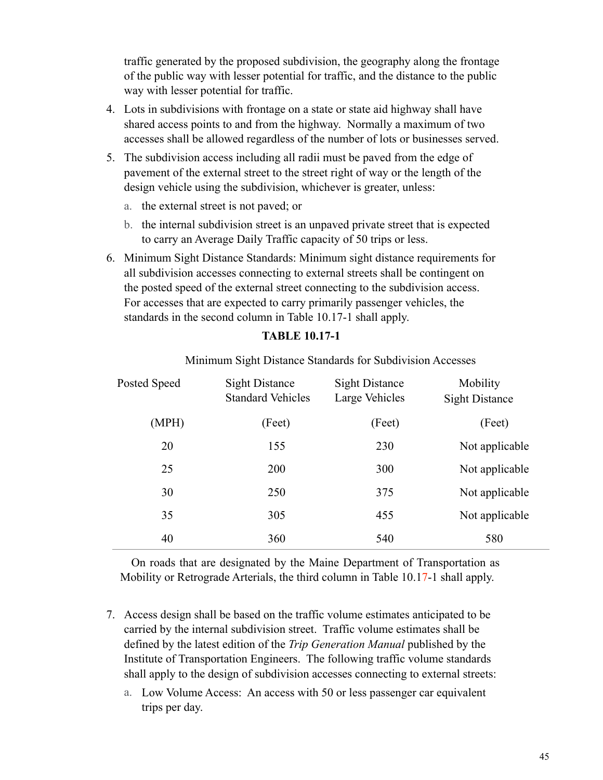traffic generated by the proposed subdivision, the geography along the frontage of the public way with lesser potential for traffic, and the distance to the public way with lesser potential for traffic.

- 4. Lots in subdivisions with frontage on a state or state aid highway shall have shared access points to and from the highway. Normally a maximum of two accesses shall be allowed regardless of the number of lots or businesses served.
- 5. The subdivision access including all radii must be paved from the edge of pavement of the external street to the street right of way or the length of the design vehicle using the subdivision, whichever is greater, unless:
	- a. the external street is not paved; or
	- b. the internal subdivision street is an unpaved private street that is expected to carry an Average Daily Traffic capacity of 50 trips or less.
- 6. Minimum Sight Distance Standards: Minimum sight distance requirements for all subdivision accesses connecting to external streets shall be contingent on the posted speed of the external street connecting to the subdivision access. For accesses that are expected to carry primarily passenger vehicles, the standards in the second column in Table 10.17-1 shall apply.

| Posted Speed | <b>Sight Distance</b><br><b>Standard Vehicles</b> | <b>Sight Distance</b><br>Large Vehicles | Mobility<br><b>Sight Distance</b> |
|--------------|---------------------------------------------------|-----------------------------------------|-----------------------------------|
| (MPH)        | (Feet)                                            | (Feet)                                  | (Feet)                            |
| 20           | 155                                               | 230                                     | Not applicable                    |
| 25           | 200                                               | 300                                     | Not applicable                    |
| 30           | 250                                               | 375                                     | Not applicable                    |
| 35           | 305                                               | 455                                     | Not applicable                    |
| 40           | 360                                               | 540                                     | 580                               |

#### **TABLE 10.17-1**

Minimum Sight Distance Standards for Subdivision Accesses

 On roads that are designated by the Maine Department of Transportation as Mobility or Retrograde Arterials, the third column in Table 10.17-1 shall apply.

- 7. Access design shall be based on the traffic volume estimates anticipated to be carried by the internal subdivision street. Traffic volume estimates shall be defined by the latest edition of the *Trip Generation Manual* published by the Institute of Transportation Engineers. The following traffic volume standards shall apply to the design of subdivision accesses connecting to external streets:
	- a. Low Volume Access: An access with 50 or less passenger car equivalent trips per day.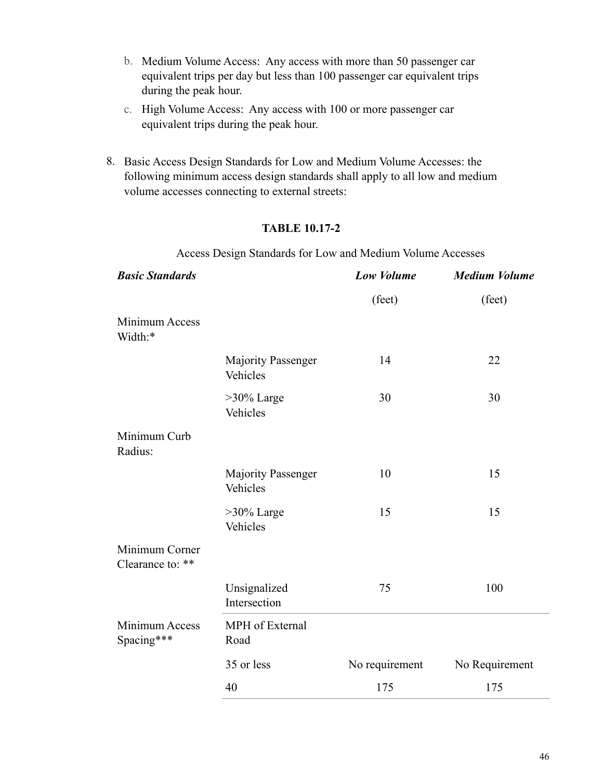- b. Medium Volume Access: Any access with more than 50 passenger car equivalent trips per day but less than 100 passenger car equivalent trips during the peak hour.
- c. High Volume Access: Any access with 100 or more passenger car equivalent trips during the peak hour.
- 8. Basic Access Design Standards for Low and Medium Volume Accesses: the following minimum access design standards shall apply to all low and medium volume accesses connecting to external streets:

## **TABLE 10.17-2**

Access Design Standards for Low and Medium Volume Accesses

| <b>Basic Standards</b>             |                                       | Low Volume     | <b>Medium Volume</b> |
|------------------------------------|---------------------------------------|----------------|----------------------|
|                                    |                                       | (feet)         | (feet)               |
| Minimum Access<br>Width:*          |                                       |                |                      |
|                                    | <b>Majority Passenger</b><br>Vehicles | 14             | 22                   |
|                                    | $>30\%$ Large<br>Vehicles             | 30             | 30                   |
| Minimum Curb<br>Radius:            |                                       |                |                      |
|                                    | <b>Majority Passenger</b><br>Vehicles | 10             | 15                   |
|                                    | $>30\%$ Large<br>Vehicles             | 15             | 15                   |
| Minimum Corner<br>Clearance to: ** |                                       |                |                      |
|                                    | Unsignalized<br>Intersection          | 75             | 100                  |
| Minimum Access<br>Spacing***       | MPH of External<br>Road               |                |                      |
|                                    | 35 or less                            | No requirement | No Requirement       |
|                                    | 40                                    | 175            | 175                  |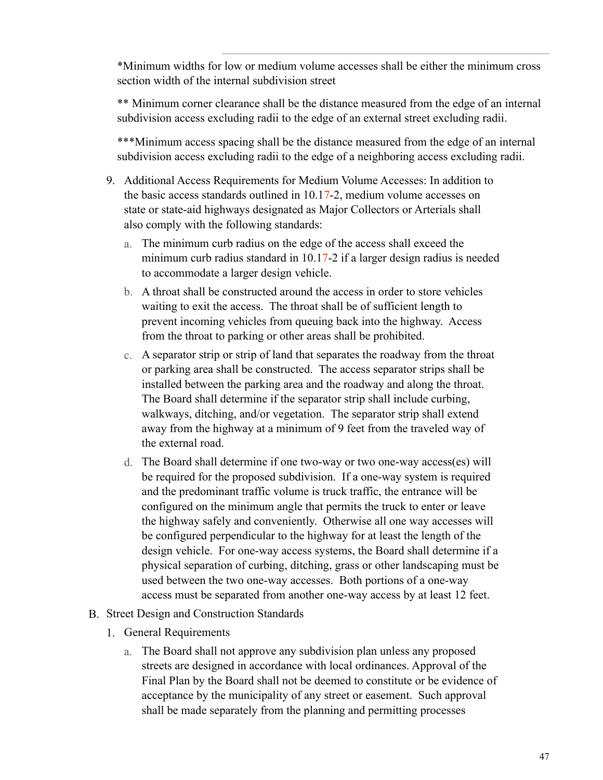\*Minimum widths for low or medium volume accesses shall be either the minimum cross section width of the internal subdivision street

\*\* Minimum corner clearance shall be the distance measured from the edge of an internal subdivision access excluding radii to the edge of an external street excluding radii.

\*\*\*Minimum access spacing shall be the distance measured from the edge of an internal subdivision access excluding radii to the edge of a neighboring access excluding radii.

- 9. Additional Access Requirements for Medium Volume Accesses: In addition to the basic access standards outlined in 10.17-2, medium volume accesses on state or state-aid highways designated as Major Collectors or Arterials shall also comply with the following standards:
	- a. The minimum curb radius on the edge of the access shall exceed the minimum curb radius standard in 10.17-2 if a larger design radius is needed to accommodate a larger design vehicle.
	- b. A throat shall be constructed around the access in order to store vehicles waiting to exit the access. The throat shall be of sufficient length to prevent incoming vehicles from queuing back into the highway. Access from the throat to parking or other areas shall be prohibited.
	- c. A separator strip or strip of land that separates the roadway from the throat or parking area shall be constructed. The access separator strips shall be installed between the parking area and the roadway and along the throat. The Board shall determine if the separator strip shall include curbing, walkways, ditching, and/or vegetation. The separator strip shall extend away from the highway at a minimum of 9 feet from the traveled way of the external road.
	- d. The Board shall determine if one two-way or two one-way access(es) will be required for the proposed subdivision. If a one-way system is required and the predominant traffic volume is truck traffic, the entrance will be configured on the minimum angle that permits the truck to enter or leave the highway safely and conveniently. Otherwise all one way accesses will be configured perpendicular to the highway for at least the length of the design vehicle. For one-way access systems, the Board shall determine if a physical separation of curbing, ditching, grass or other landscaping must be used between the two one-way accesses. Both portions of a one-way access must be separated from another one-way access by at least 12 feet.
- B. Street Design and Construction Standards
	- 1. General Requirements
		- a. The Board shall not approve any subdivision plan unless any proposed streets are designed in accordance with local ordinances. Approval of the Final Plan by the Board shall not be deemed to constitute or be evidence of acceptance by the municipality of any street or easement. Such approval shall be made separately from the planning and permitting processes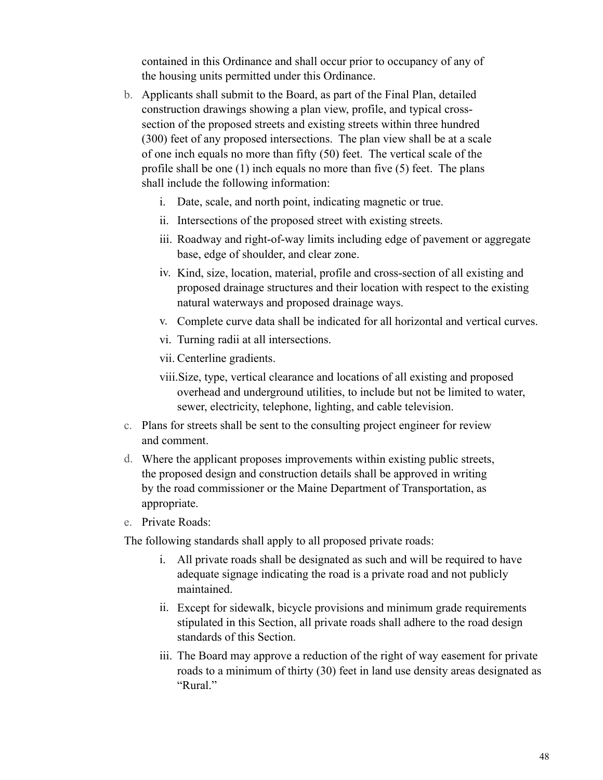contained in this Ordinance and shall occur prior to occupancy of any of the housing units permitted under this Ordinance.

- b. Applicants shall submit to the Board, as part of the Final Plan, detailed construction drawings showing a plan view, profile, and typical crosssection of the proposed streets and existing streets within three hundred (300) feet of any proposed intersections. The plan view shall be at a scale of one inch equals no more than fifty (50) feet. The vertical scale of the profile shall be one (1) inch equals no more than five (5) feet. The plans shall include the following information:
	- i. Date, scale, and north point, indicating magnetic or true.
	- ii. Intersections of the proposed street with existing streets.
	- iii. Roadway and right-of-way limits including edge of pavement or aggregate base, edge of shoulder, and clear zone.
	- iv. Kind, size, location, material, profile and cross-section of all existing and proposed drainage structures and their location with respect to the existing natural waterways and proposed drainage ways.
	- v. Complete curve data shall be indicated for all horizontal and vertical curves.
	- vi. Turning radii at all intersections.
	- vii. Centerline gradients.
	- viii.Size, type, vertical clearance and locations of all existing and proposed overhead and underground utilities, to include but not be limited to water, sewer, electricity, telephone, lighting, and cable television.
- c. Plans for streets shall be sent to the consulting project engineer for review and comment.
- d. Where the applicant proposes improvements within existing public streets, the proposed design and construction details shall be approved in writing by the road commissioner or the Maine Department of Transportation, as appropriate.
- e. Private Roads:

The following standards shall apply to all proposed private roads:

- i. All private roads shall be designated as such and will be required to have adequate signage indicating the road is a private road and not publicly maintained.
- ii. Except for sidewalk, bicycle provisions and minimum grade requirements stipulated in this Section, all private roads shall adhere to the road design standards of this Section.
- iii. The Board may approve a reduction of the right of way easement for private roads to a minimum of thirty (30) feet in land use density areas designated as "Rural."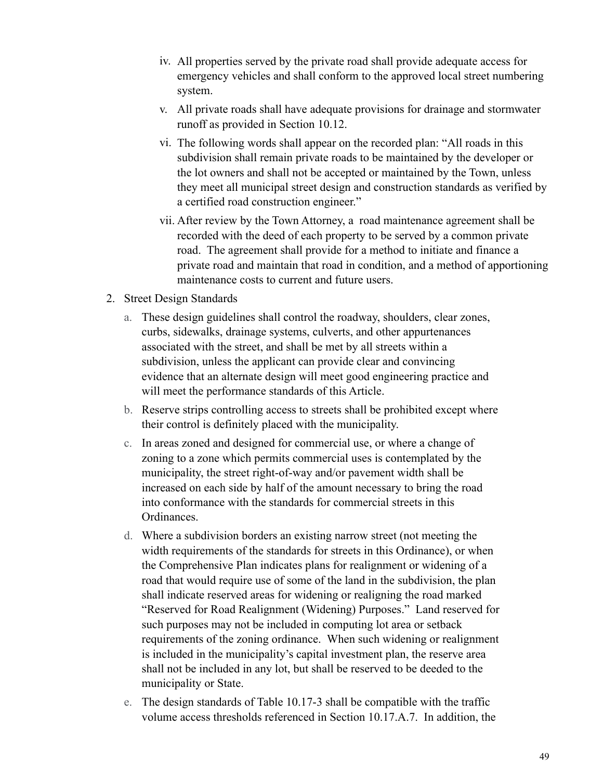- iv. All properties served by the private road shall provide adequate access for emergency vehicles and shall conform to the approved local street numbering system.
- v. All private roads shall have adequate provisions for drainage and stormwater runoff as provided in Section 10.12.
- vi. The following words shall appear on the recorded plan: "All roads in this subdivision shall remain private roads to be maintained by the developer or the lot owners and shall not be accepted or maintained by the Town, unless they meet all municipal street design and construction standards as verified by a certified road construction engineer."
- vii. After review by the Town Attorney, a road maintenance agreement shall be recorded with the deed of each property to be served by a common private road. The agreement shall provide for a method to initiate and finance a private road and maintain that road in condition, and a method of apportioning maintenance costs to current and future users.
- 2. Street Design Standards
	- a. These design guidelines shall control the roadway, shoulders, clear zones, curbs, sidewalks, drainage systems, culverts, and other appurtenances associated with the street, and shall be met by all streets within a subdivision, unless the applicant can provide clear and convincing evidence that an alternate design will meet good engineering practice and will meet the performance standards of this Article.
	- b. Reserve strips controlling access to streets shall be prohibited except where their control is definitely placed with the municipality.
	- c. In areas zoned and designed for commercial use, or where a change of zoning to a zone which permits commercial uses is contemplated by the municipality, the street right-of-way and/or pavement width shall be increased on each side by half of the amount necessary to bring the road into conformance with the standards for commercial streets in this Ordinances.
	- d. Where a subdivision borders an existing narrow street (not meeting the width requirements of the standards for streets in this Ordinance), or when the Comprehensive Plan indicates plans for realignment or widening of a road that would require use of some of the land in the subdivision, the plan shall indicate reserved areas for widening or realigning the road marked "Reserved for Road Realignment (Widening) Purposes." Land reserved for such purposes may not be included in computing lot area or setback requirements of the zoning ordinance. When such widening or realignment is included in the municipality's capital investment plan, the reserve area shall not be included in any lot, but shall be reserved to be deeded to the municipality or State.
	- e. The design standards of Table 10.17-3 shall be compatible with the traffic volume access thresholds referenced in Section 10.17.A.7. In addition, the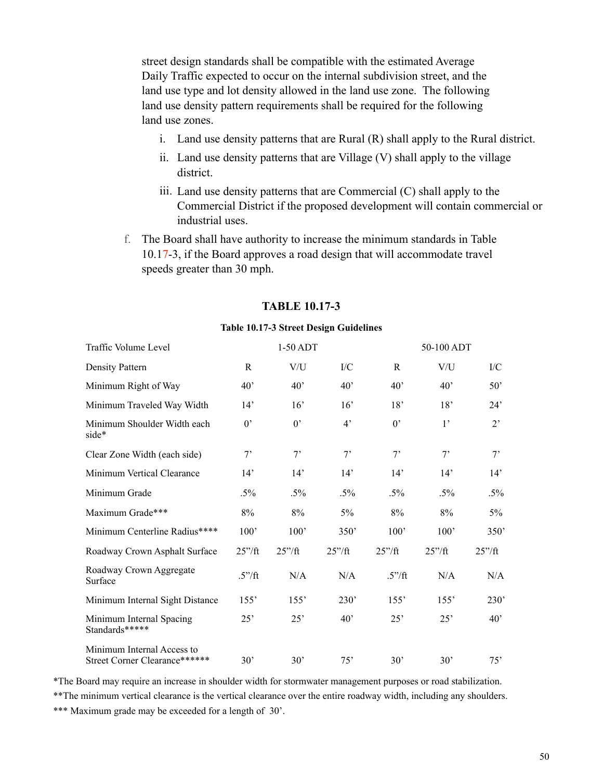street design standards shall be compatible with the estimated Average Daily Traffic expected to occur on the internal subdivision street, and the land use type and lot density allowed in the land use zone. The following land use density pattern requirements shall be required for the following land use zones.

- i. Land use density patterns that are Rural (R) shall apply to the Rural district.
- ii. Land use density patterns that are Village (V) shall apply to the village district.
- iii. Land use density patterns that are Commercial (C) shall apply to the Commercial District if the proposed development will contain commercial or industrial uses.
- f. The Board shall have authority to increase the minimum standards in Table 10.17-3, if the Board approves a road design that will accommodate travel speeds greater than 30 mph.

| Traffic Volume Level                                        |                  | $1-50$ ADT  |                 |              | 50-100 ADT     |                |
|-------------------------------------------------------------|------------------|-------------|-----------------|--------------|----------------|----------------|
| Density Pattern                                             | R                | V/U         | $\rm{I}/C$      | $\mathsf{R}$ | V/U            | $\overline{C}$ |
| Minimum Right of Way                                        | $40^{\circ}$     | 40'         | 40 <sup>2</sup> | 40'          | $40^{\circ}$   | 50'            |
| Minimum Traveled Way Width                                  | 14'              | 16'         | 16'             | 18'          | 18'            | 24'            |
| Minimum Shoulder Width each<br>side*                        | $0^{\circ}$      | $0^{\circ}$ | $4^{\circ}$     | $0^{\prime}$ | 1 <sup>2</sup> | $2^{\circ}$    |
| Clear Zone Width (each side)                                | $7^{\circ}$      | $7^{\circ}$ | $7^{\circ}$     | 7'           | $7^{\circ}$    | $7^{\circ}$    |
| Minimum Vertical Clearance                                  | 14'              | 14'         | 14'             | 14'          | 14'            | 14'            |
| Minimum Grade                                               | $.5\%$           | $.5\%$      | $.5\%$          | $.5\%$       | $.5\%$         | $.5\%$         |
| Maximum Grade***                                            | 8%               | $8\%$       | 5%              | $8\%$        | $8\%$          | 5%             |
| Minimum Centerline Radius****                               | 100'             | 100'        | 350'            | 100'         | 100'           | 350'           |
| Roadway Crown Asphalt Surface                               | $25''/\text{ft}$ | 25''/ft     | 25''/ft         | 25''/ft      | 25''/ft        | 25''/ft        |
| Roadway Crown Aggregate<br>Surface                          | .5''/ft          | N/A         | N/A             | $.5"$ /ft    | N/A            | N/A            |
| Minimum Internal Sight Distance                             | 155'             | 155'        | 230'            | 155'         | 155'           | 230'           |
| Minimum Internal Spacing<br>Standards*****                  | 25'              | 25'         | 40 <sup>2</sup> | 25'          | 25'            | $40^{\circ}$   |
| Minimum Internal Access to<br>Street Corner Clearance****** | 30'              | 30'         | 75'             | 30'          | 30'            | 75'            |

#### **TABLE 10.17-3**

#### **Table 10.17-3 Street Design Guidelines**

\*The Board may require an increase in shoulder width for stormwater management purposes or road stabilization.

\*\*The minimum vertical clearance is the vertical clearance over the entire roadway width, including any shoulders. \*\*\* Maximum grade may be exceeded for a length of 30'.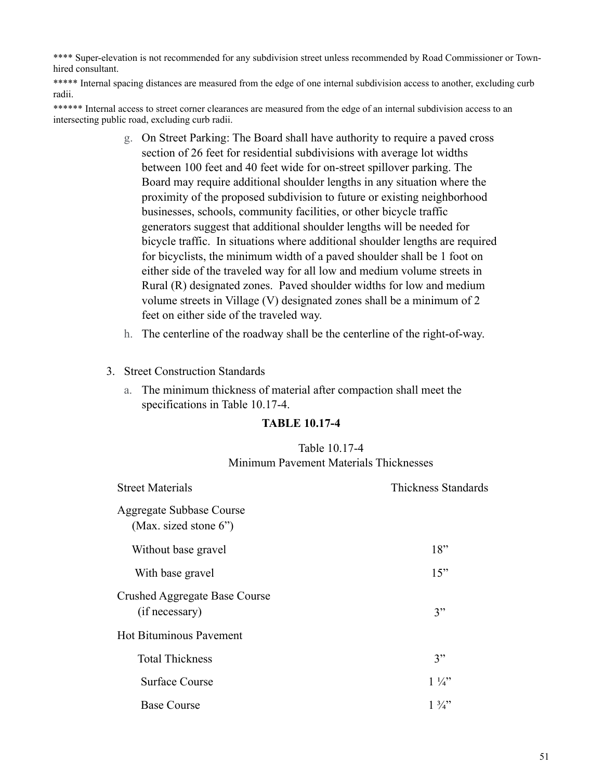\*\*\*\* Super-elevation is not recommended for any subdivision street unless recommended by Road Commissioner or Townhired consultant.

\*\*\*\*\* Internal spacing distances are measured from the edge of one internal subdivision access to another, excluding curb radii.

\*\*\*\*\*\* Internal access to street corner clearances are measured from the edge of an internal subdivision access to an intersecting public road, excluding curb radii.

- g. On Street Parking: The Board shall have authority to require a paved cross section of 26 feet for residential subdivisions with average lot widths between 100 feet and 40 feet wide for on-street spillover parking. The Board may require additional shoulder lengths in any situation where the proximity of the proposed subdivision to future or existing neighborhood businesses, schools, community facilities, or other bicycle traffic generators suggest that additional shoulder lengths will be needed for bicycle traffic. In situations where additional shoulder lengths are required for bicyclists, the minimum width of a paved shoulder shall be 1 foot on either side of the traveled way for all low and medium volume streets in Rural (R) designated zones. Paved shoulder widths for low and medium volume streets in Village (V) designated zones shall be a minimum of 2 feet on either side of the traveled way.
- h. The centerline of the roadway shall be the centerline of the right-of-way.

#### 3. Street Construction Standards

a. The minimum thickness of material after compaction shall meet the specifications in Table 10.17-4.

#### **TABLE 10.17-4**

#### Table 10.17-4 Minimum Pavement Materials Thicknesses

| <b>Street Materials</b>                                     | Thickness Standards |
|-------------------------------------------------------------|---------------------|
| <b>Aggregate Subbase Course</b><br>(Max. sized stone $6$ ") |                     |
| Without base gravel                                         | 18"                 |
| With base gravel                                            | 15"                 |
| Crushed Aggregate Base Course<br>(if necessary)             | 3"                  |
| <b>Hot Bituminous Pavement</b>                              |                     |
| <b>Total Thickness</b>                                      | 3"                  |
| <b>Surface Course</b>                                       | $1\frac{1}{4}$      |
| <b>Base Course</b>                                          | $1\frac{3}{4}$      |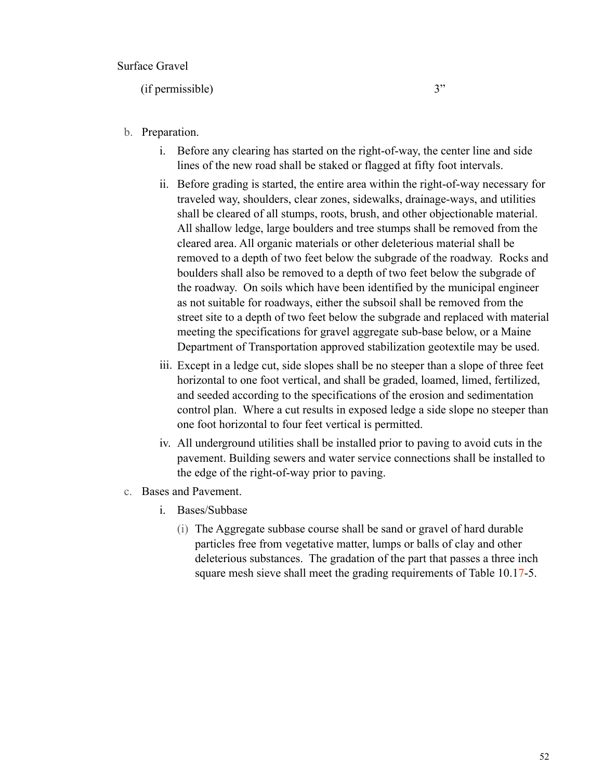$(i$ f permissible)  $3"$ 

- b. Preparation.
	- i. Before any clearing has started on the right-of-way, the center line and side lines of the new road shall be staked or flagged at fifty foot intervals.
	- ii. Before grading is started, the entire area within the right-of-way necessary for traveled way, shoulders, clear zones, sidewalks, drainage-ways, and utilities shall be cleared of all stumps, roots, brush, and other objectionable material. All shallow ledge, large boulders and tree stumps shall be removed from the cleared area. All organic materials or other deleterious material shall be removed to a depth of two feet below the subgrade of the roadway. Rocks and boulders shall also be removed to a depth of two feet below the subgrade of the roadway. On soils which have been identified by the municipal engineer as not suitable for roadways, either the subsoil shall be removed from the street site to a depth of two feet below the subgrade and replaced with material meeting the specifications for gravel aggregate sub-base below, or a Maine Department of Transportation approved stabilization geotextile may be used.
	- iii. Except in a ledge cut, side slopes shall be no steeper than a slope of three feet horizontal to one foot vertical, and shall be graded, loamed, limed, fertilized, and seeded according to the specifications of the erosion and sedimentation control plan. Where a cut results in exposed ledge a side slope no steeper than one foot horizontal to four feet vertical is permitted.
	- iv. All underground utilities shall be installed prior to paving to avoid cuts in the pavement. Building sewers and water service connections shall be installed to the edge of the right-of-way prior to paving.
- c. Bases and Pavement.
	- i. Bases/Subbase
		- (i) The Aggregate subbase course shall be sand or gravel of hard durable particles free from vegetative matter, lumps or balls of clay and other deleterious substances. The gradation of the part that passes a three inch square mesh sieve shall meet the grading requirements of Table 10.17-5.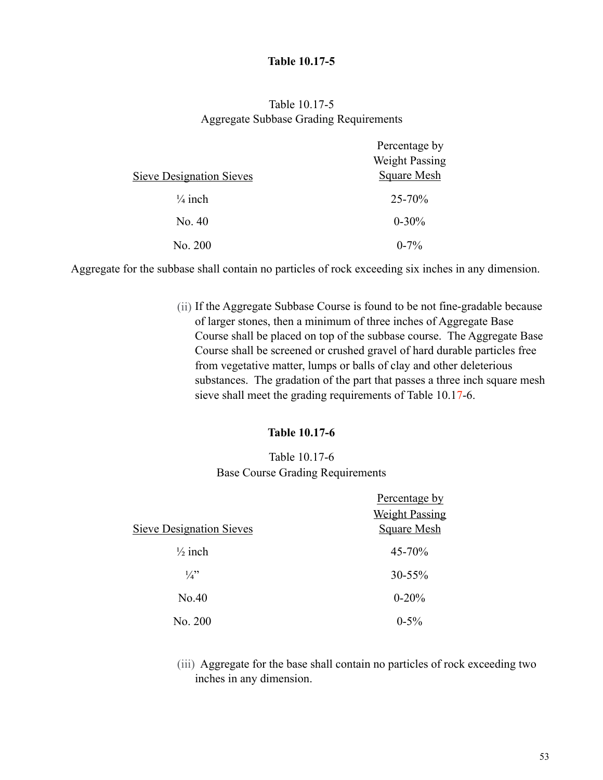#### **Table 10.17-5**

### Table 10.17-5 Aggregate Subbase Grading Requirements

|                                 | Percentage by         |
|---------------------------------|-----------------------|
|                                 | <b>Weight Passing</b> |
| <b>Sieve Designation Sieves</b> | Square Mesh           |
| $\frac{1}{4}$ inch              | $25 - 70%$            |
| No. 40                          | $0 - 30\%$            |
| No. 200                         | $0 - 7\%$             |

Aggregate for the subbase shall contain no particles of rock exceeding six inches in any dimension.

(ii) If the Aggregate Subbase Course is found to be not fine-gradable because of larger stones, then a minimum of three inches of Aggregate Base Course shall be placed on top of the subbase course. The Aggregate Base Course shall be screened or crushed gravel of hard durable particles free from vegetative matter, lumps or balls of clay and other deleterious substances. The gradation of the part that passes a three inch square mesh sieve shall meet the grading requirements of Table 10.17-6.

#### **Table 10.17-6**

## Table 10.17-6 Base Course Grading Requirements

| <b>Sieve Designation Sieves</b> | Percentage by<br><b>Weight Passing</b><br><b>Square Mesh</b> |
|---------------------------------|--------------------------------------------------------------|
| $\frac{1}{2}$ inch              | 45-70%                                                       |
| $\frac{1}{4}$                   | 30-55%                                                       |
| No.40                           | $0 - 20%$                                                    |
| No. 200                         | $0 - 5\%$                                                    |

(iii) Aggregate for the base shall contain no particles of rock exceeding two inches in any dimension.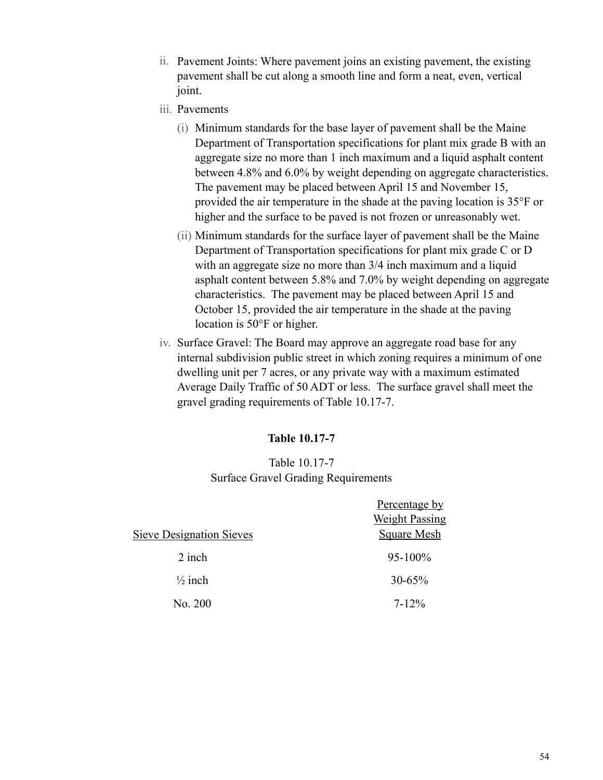- ii. Pavement Joints: Where pavement joins an existing pavement, the existing pavement shall be cut along a smooth line and form a neat, even, vertical joint.
- iii. Pavements
	- (i) Minimum standards for the base layer of pavement shall be the Maine Department of Transportation specifications for plant mix grade B with an aggregate size no more than 1 inch maximum and a liquid asphalt content between 4.8% and 6.0% by weight depending on aggregate characteristics. The pavement may be placed between April 15 and November 15, provided the air temperature in the shade at the paving location is 35°F or higher and the surface to be paved is not frozen or unreasonably wet.
	- (ii) Minimum standards for the surface layer of pavement shall be the Maine Department of Transportation specifications for plant mix grade C or D with an aggregate size no more than  $3/4$  inch maximum and a liquid asphalt content between 5.8% and 7.0% by weight depending on aggregate characteristics. The pavement may be placed between April 15 and October 15, provided the air temperature in the shade at the paving location is 50°F or higher.
- iv. Surface Gravel: The Board may approve an aggregate road base for any internal subdivision public street in which zoning requires a minimum of one dwelling unit per 7 acres, or any private way with a maximum estimated Average Daily Traffic of 50 ADT or less. The surface gravel shall meet the gravel grading requirements of Table 10.17-7.

### **Table 10.17-7**

### Table 10.17-7 Surface Gravel Grading Requirements

|                                 | Percentage by         |
|---------------------------------|-----------------------|
|                                 | <b>Weight Passing</b> |
| <b>Sieve Designation Sieves</b> | Square Mesh           |
| 2 inch                          | $95 - 100\%$          |
| $\frac{1}{2}$ inch              | $30 - 65\%$           |
| No. 200                         | $7 - 12\%$            |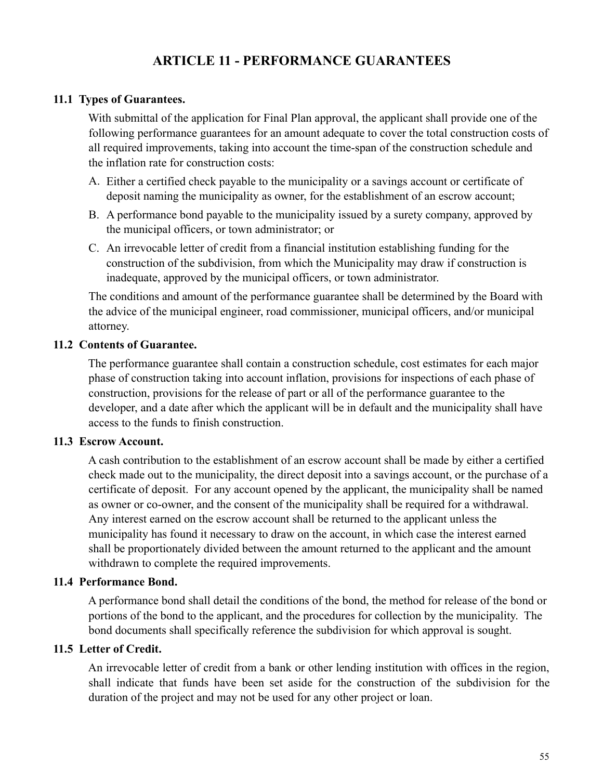# **ARTICLE 11 - PERFORMANCE GUARANTEES**

#### **11.1 Types of Guarantees.**

 With submittal of the application for Final Plan approval, the applicant shall provide one of the following performance guarantees for an amount adequate to cover the total construction costs of all required improvements, taking into account the time-span of the construction schedule and the inflation rate for construction costs:

- A. Either a certified check payable to the municipality or a savings account or certificate of deposit naming the municipality as owner, for the establishment of an escrow account;
- B. A performance bond payable to the municipality issued by a surety company, approved by the municipal officers, or town administrator; or
- C. An irrevocable letter of credit from a financial institution establishing funding for the construction of the subdivision, from which the Municipality may draw if construction is inadequate, approved by the municipal officers, or town administrator.

The conditions and amount of the performance guarantee shall be determined by the Board with the advice of the municipal engineer, road commissioner, municipal officers, and/or municipal attorney.

#### **11.2 Contents of Guarantee.**

 The performance guarantee shall contain a construction schedule, cost estimates for each major phase of construction taking into account inflation, provisions for inspections of each phase of construction, provisions for the release of part or all of the performance guarantee to the developer, and a date after which the applicant will be in default and the municipality shall have access to the funds to finish construction.

#### **11.3 Escrow Account.**

 A cash contribution to the establishment of an escrow account shall be made by either a certified check made out to the municipality, the direct deposit into a savings account, or the purchase of a certificate of deposit. For any account opened by the applicant, the municipality shall be named as owner or co-owner, and the consent of the municipality shall be required for a withdrawal. Any interest earned on the escrow account shall be returned to the applicant unless the municipality has found it necessary to draw on the account, in which case the interest earned shall be proportionately divided between the amount returned to the applicant and the amount withdrawn to complete the required improvements.

#### **11.4 Performance Bond.**

 A performance bond shall detail the conditions of the bond, the method for release of the bond or portions of the bond to the applicant, and the procedures for collection by the municipality. The bond documents shall specifically reference the subdivision for which approval is sought.

#### **11.5 Letter of Credit.**

 An irrevocable letter of credit from a bank or other lending institution with offices in the region, shall indicate that funds have been set aside for the construction of the subdivision for the duration of the project and may not be used for any other project or loan.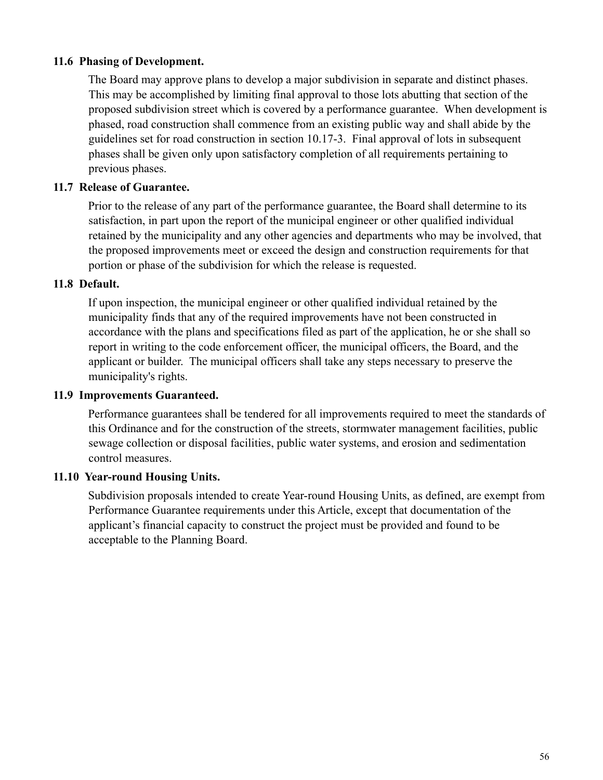### **11.6 Phasing of Development.**

 The Board may approve plans to develop a major subdivision in separate and distinct phases. This may be accomplished by limiting final approval to those lots abutting that section of the proposed subdivision street which is covered by a performance guarantee. When development is phased, road construction shall commence from an existing public way and shall abide by the guidelines set for road construction in section 10.17-3. Final approval of lots in subsequent phases shall be given only upon satisfactory completion of all requirements pertaining to previous phases.

#### **11.7 Release of Guarantee.**

 Prior to the release of any part of the performance guarantee, the Board shall determine to its satisfaction, in part upon the report of the municipal engineer or other qualified individual retained by the municipality and any other agencies and departments who may be involved, that the proposed improvements meet or exceed the design and construction requirements for that portion or phase of the subdivision for which the release is requested.

#### **11.8 Default.**

 If upon inspection, the municipal engineer or other qualified individual retained by the municipality finds that any of the required improvements have not been constructed in accordance with the plans and specifications filed as part of the application, he or she shall so report in writing to the code enforcement officer, the municipal officers, the Board, and the applicant or builder. The municipal officers shall take any steps necessary to preserve the municipality's rights.

#### **11.9 Improvements Guaranteed.**

 Performance guarantees shall be tendered for all improvements required to meet the standards of this Ordinance and for the construction of the streets, stormwater management facilities, public sewage collection or disposal facilities, public water systems, and erosion and sedimentation control measures.

### **11.10 Year-round Housing Units.**

 Subdivision proposals intended to create Year-round Housing Units, as defined, are exempt from Performance Guarantee requirements under this Article, except that documentation of the applicant's financial capacity to construct the project must be provided and found to be acceptable to the Planning Board.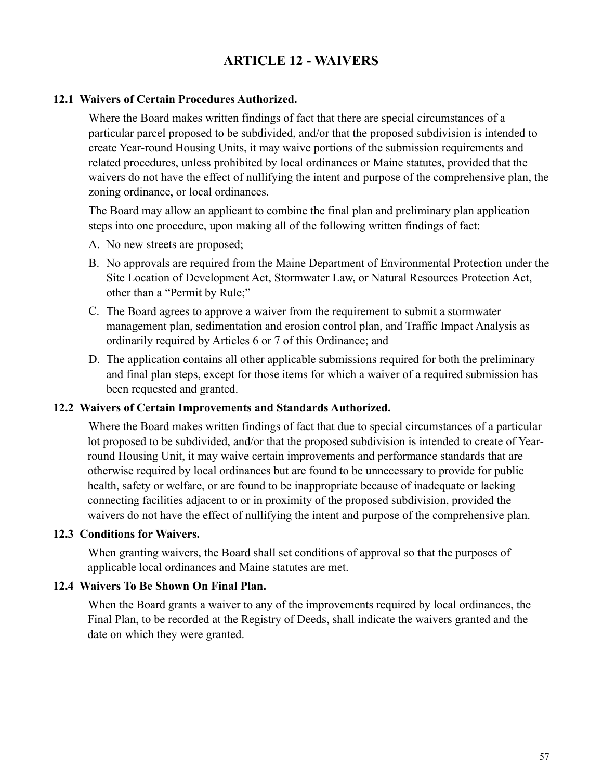# **ARTICLE 12 - WAIVERS**

## **12.1 Waivers of Certain Procedures Authorized.**

Where the Board makes written findings of fact that there are special circumstances of a particular parcel proposed to be subdivided, and/or that the proposed subdivision is intended to create Year-round Housing Units, it may waive portions of the submission requirements and related procedures, unless prohibited by local ordinances or Maine statutes, provided that the waivers do not have the effect of nullifying the intent and purpose of the comprehensive plan, the zoning ordinance, or local ordinances.

The Board may allow an applicant to combine the final plan and preliminary plan application steps into one procedure, upon making all of the following written findings of fact:

- A. No new streets are proposed;
- B. No approvals are required from the Maine Department of Environmental Protection under the Site Location of Development Act, Stormwater Law, or Natural Resources Protection Act, other than a "Permit by Rule;"
- C. The Board agrees to approve a waiver from the requirement to submit a stormwater management plan, sedimentation and erosion control plan, and Traffic Impact Analysis as ordinarily required by Articles 6 or 7 of this Ordinance; and
- D. The application contains all other applicable submissions required for both the preliminary and final plan steps, except for those items for which a waiver of a required submission has been requested and granted.

### **12.2 Waivers of Certain Improvements and Standards Authorized.**

Where the Board makes written findings of fact that due to special circumstances of a particular lot proposed to be subdivided, and/or that the proposed subdivision is intended to create of Yearround Housing Unit, it may waive certain improvements and performance standards that are otherwise required by local ordinances but are found to be unnecessary to provide for public health, safety or welfare, or are found to be inappropriate because of inadequate or lacking connecting facilities adjacent to or in proximity of the proposed subdivision, provided the waivers do not have the effect of nullifying the intent and purpose of the comprehensive plan.

#### **12.3 Conditions for Waivers.**

 When granting waivers, the Board shall set conditions of approval so that the purposes of applicable local ordinances and Maine statutes are met.

### **12.4 Waivers To Be Shown On Final Plan.**

 When the Board grants a waiver to any of the improvements required by local ordinances, the Final Plan, to be recorded at the Registry of Deeds, shall indicate the waivers granted and the date on which they were granted.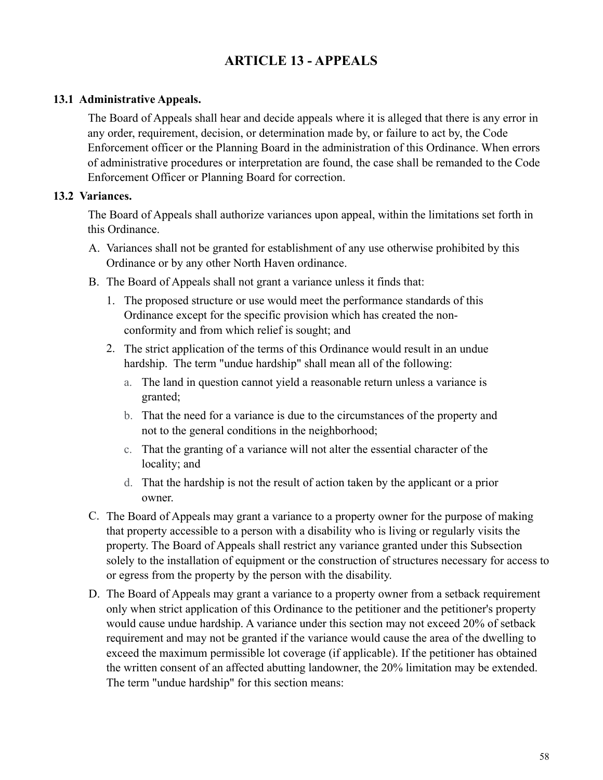# **ARTICLE 13 - APPEALS**

## **13.1 Administrative Appeals.**

The Board of Appeals shall hear and decide appeals where it is alleged that there is any error in any order, requirement, decision, or determination made by, or failure to act by, the Code Enforcement officer or the Planning Board in the administration of this Ordinance. When errors of administrative procedures or interpretation are found, the case shall be remanded to the Code Enforcement Officer or Planning Board for correction.

### **13.2 Variances.**

 The Board of Appeals shall authorize variances upon appeal, within the limitations set forth in this Ordinance.

- A. Variances shall not be granted for establishment of any use otherwise prohibited by this Ordinance or by any other North Haven ordinance.
- B. The Board of Appeals shall not grant a variance unless it finds that:
	- 1. The proposed structure or use would meet the performance standards of this Ordinance except for the specific provision which has created the nonconformity and from which relief is sought; and
	- 2. The strict application of the terms of this Ordinance would result in an undue hardship. The term "undue hardship" shall mean all of the following:
		- a. The land in question cannot yield a reasonable return unless a variance is granted;
		- b. That the need for a variance is due to the circumstances of the property and not to the general conditions in the neighborhood;
		- c. That the granting of a variance will not alter the essential character of the locality; and
		- d. That the hardship is not the result of action taken by the applicant or a prior owner.
- C. The Board of Appeals may grant a variance to a property owner for the purpose of making that property accessible to a person with a disability who is living or regularly visits the property. The Board of Appeals shall restrict any variance granted under this Subsection solely to the installation of equipment or the construction of structures necessary for access to or egress from the property by the person with the disability.
- D. The Board of Appeals may grant a variance to a property owner from a setback requirement only when strict application of this Ordinance to the petitioner and the petitioner's property would cause undue hardship. A variance under this section may not exceed 20% of setback requirement and may not be granted if the variance would cause the area of the dwelling to exceed the maximum permissible lot coverage (if applicable). If the petitioner has obtained the written consent of an affected abutting landowner, the 20% limitation may be extended. The term "undue hardship" for this section means: